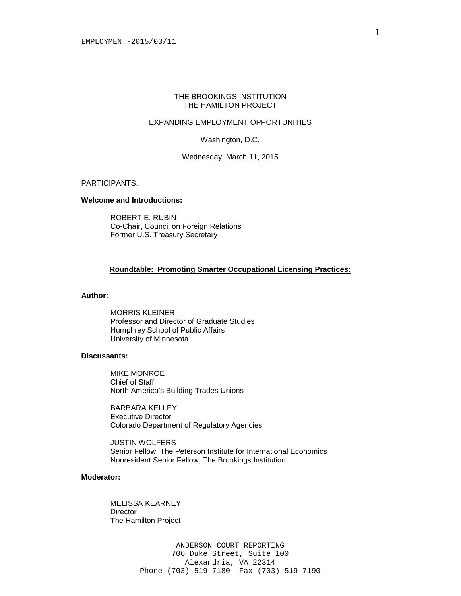# THE BROOKINGS INSTITUTION THE HAMILTON PROJECT

# EXPANDING EMPLOYMENT OPPORTUNITIES

Washington, D.C.

Wednesday, March 11, 2015

### PARTICIPANTS:

## **Welcome and Introductions:**

ROBERT E. RUBIN Co-Chair, Council on Foreign Relations Former U.S. Treasury Secretary

# **Roundtable: Promoting Smarter Occupational Licensing Practices:**

#### **Author:**

MORRIS KLEINER Professor and Director of Graduate Studies Humphrey School of Public Affairs University of Minnesota

# **Discussants:**

MIKE MONROE Chief of Staff North America's Building Trades Unions

BARBARA KELLEY Executive Director Colorado Department of Regulatory Agencies

JUSTIN WOLFERS Senior Fellow, The Peterson Institute for International Economics Nonresident Senior Fellow, The Brookings Institution

#### **Moderator:**

MELISSA KEARNEY **Director** The Hamilton Project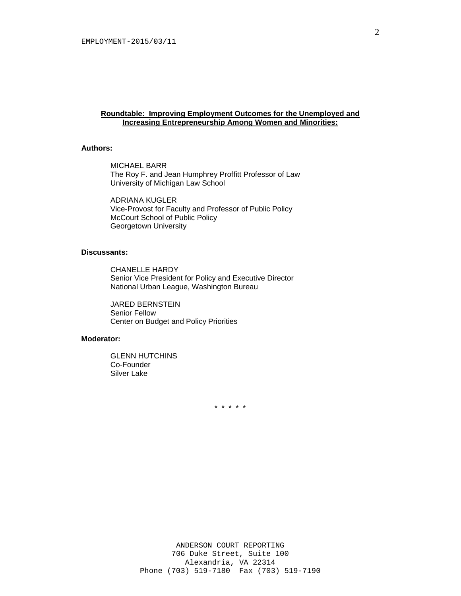## **Roundtable: Improving Employment Outcomes for the Unemployed and Increasing Entrepreneurship Among Women and Minorities:**

# **Authors:**

MICHAEL BARR The Roy F. and Jean Humphrey Proffitt Professor of Law University of Michigan Law School

ADRIANA KUGLER Vice-Provost for Faculty and Professor of Public Policy McCourt School of Public Policy Georgetown University

#### **Discussants:**

CHANELLE HARDY Senior Vice President for Policy and Executive Director National Urban League, Washington Bureau

JARED BERNSTEIN Senior Fellow Center on Budget and Policy Priorities

## **Moderator:**

GLENN HUTCHINS Co-Founder Silver Lake

\* \* \* \* \*

2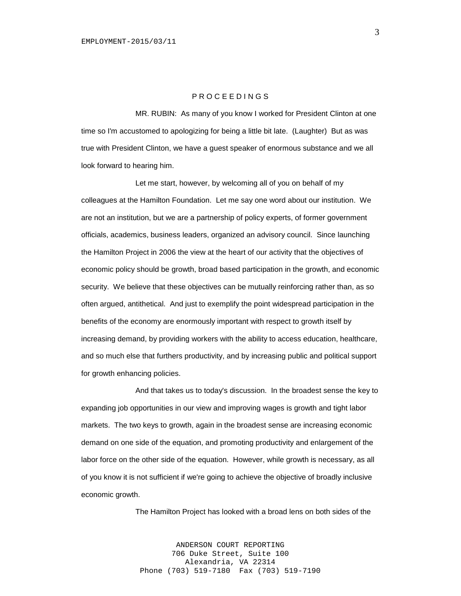### P R O C E E D I N G S

MR. RUBIN: As many of you know I worked for President Clinton at one time so I'm accustomed to apologizing for being a little bit late. (Laughter) But as was true with President Clinton, we have a guest speaker of enormous substance and we all look forward to hearing him.

Let me start, however, by welcoming all of you on behalf of my colleagues at the Hamilton Foundation. Let me say one word about our institution. We are not an institution, but we are a partnership of policy experts, of former government officials, academics, business leaders, organized an advisory council. Since launching the Hamilton Project in 2006 the view at the heart of our activity that the objectives of economic policy should be growth, broad based participation in the growth, and economic security. We believe that these objectives can be mutually reinforcing rather than, as so often argued, antithetical. And just to exemplify the point widespread participation in the benefits of the economy are enormously important with respect to growth itself by increasing demand, by providing workers with the ability to access education, healthcare, and so much else that furthers productivity, and by increasing public and political support for growth enhancing policies.

And that takes us to today's discussion. In the broadest sense the key to expanding job opportunities in our view and improving wages is growth and tight labor markets. The two keys to growth, again in the broadest sense are increasing economic demand on one side of the equation, and promoting productivity and enlargement of the labor force on the other side of the equation. However, while growth is necessary, as all of you know it is not sufficient if we're going to achieve the objective of broadly inclusive economic growth.

The Hamilton Project has looked with a broad lens on both sides of the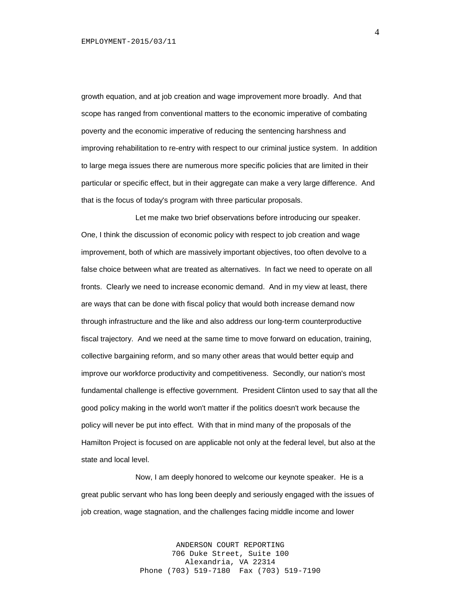growth equation, and at job creation and wage improvement more broadly. And that scope has ranged from conventional matters to the economic imperative of combating poverty and the economic imperative of reducing the sentencing harshness and improving rehabilitation to re-entry with respect to our criminal justice system. In addition to large mega issues there are numerous more specific policies that are limited in their particular or specific effect, but in their aggregate can make a very large difference. And that is the focus of today's program with three particular proposals.

Let me make two brief observations before introducing our speaker. One, I think the discussion of economic policy with respect to job creation and wage improvement, both of which are massively important objectives, too often devolve to a false choice between what are treated as alternatives. In fact we need to operate on all fronts. Clearly we need to increase economic demand. And in my view at least, there are ways that can be done with fiscal policy that would both increase demand now through infrastructure and the like and also address our long-term counterproductive fiscal trajectory. And we need at the same time to move forward on education, training, collective bargaining reform, and so many other areas that would better equip and improve our workforce productivity and competitiveness. Secondly, our nation's most fundamental challenge is effective government. President Clinton used to say that all the good policy making in the world won't matter if the politics doesn't work because the policy will never be put into effect. With that in mind many of the proposals of the Hamilton Project is focused on are applicable not only at the federal level, but also at the state and local level.

Now, I am deeply honored to welcome our keynote speaker. He is a great public servant who has long been deeply and seriously engaged with the issues of job creation, wage stagnation, and the challenges facing middle income and lower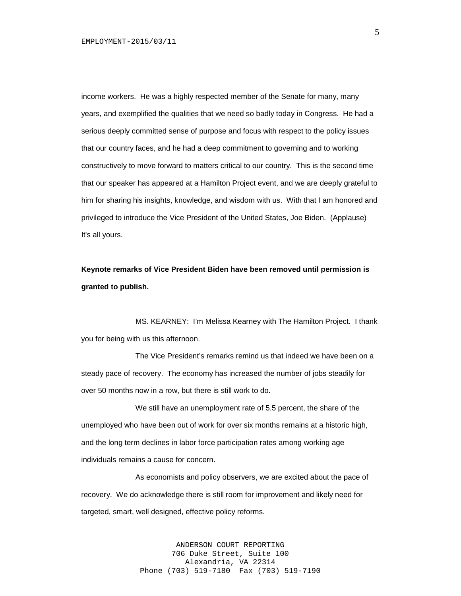income workers. He was a highly respected member of the Senate for many, many years, and exemplified the qualities that we need so badly today in Congress. He had a serious deeply committed sense of purpose and focus with respect to the policy issues that our country faces, and he had a deep commitment to governing and to working constructively to move forward to matters critical to our country. This is the second time that our speaker has appeared at a Hamilton Project event, and we are deeply grateful to him for sharing his insights, knowledge, and wisdom with us. With that I am honored and privileged to introduce the Vice President of the United States, Joe Biden. (Applause) It's all yours.

**Keynote remarks of Vice President Biden have been removed until permission is granted to publish.**

MS. KEARNEY: I'm Melissa Kearney with The Hamilton Project. I thank you for being with us this afternoon.

The Vice President's remarks remind us that indeed we have been on a steady pace of recovery. The economy has increased the number of jobs steadily for over 50 months now in a row, but there is still work to do.

We still have an unemployment rate of 5.5 percent, the share of the unemployed who have been out of work for over six months remains at a historic high, and the long term declines in labor force participation rates among working age individuals remains a cause for concern.

As economists and policy observers, we are excited about the pace of recovery. We do acknowledge there is still room for improvement and likely need for targeted, smart, well designed, effective policy reforms.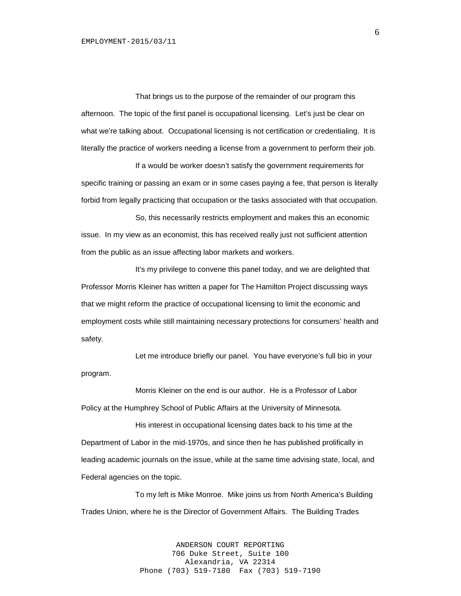That brings us to the purpose of the remainder of our program this afternoon. The topic of the first panel is occupational licensing. Let's just be clear on what we're talking about. Occupational licensing is not certification or credentialing. It is literally the practice of workers needing a license from a government to perform their job.

If a would be worker doesn't satisfy the government requirements for specific training or passing an exam or in some cases paying a fee, that person is literally forbid from legally practicing that occupation or the tasks associated with that occupation.

So, this necessarily restricts employment and makes this an economic issue. In my view as an economist, this has received really just not sufficient attention from the public as an issue affecting labor markets and workers.

It's my privilege to convene this panel today, and we are delighted that Professor Morris Kleiner has written a paper for The Hamilton Project discussing ways that we might reform the practice of occupational licensing to limit the economic and employment costs while still maintaining necessary protections for consumers' health and safety.

Let me introduce briefly our panel. You have everyone's full bio in your program.

Morris Kleiner on the end is our author. He is a Professor of Labor Policy at the Humphrey School of Public Affairs at the University of Minnesota.

His interest in occupational licensing dates back to his time at the Department of Labor in the mid-1970s, and since then he has published prolifically in leading academic journals on the issue, while at the same time advising state, local, and Federal agencies on the topic.

To my left is Mike Monroe. Mike joins us from North America's Building Trades Union, where he is the Director of Government Affairs. The Building Trades

> ANDERSON COURT REPORTING 706 Duke Street, Suite 100 Alexandria, VA 22314 Phone (703) 519-7180 Fax (703) 519-7190

6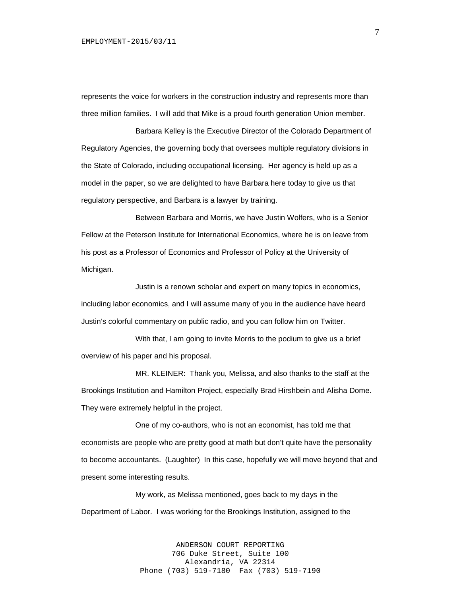represents the voice for workers in the construction industry and represents more than three million families. I will add that Mike is a proud fourth generation Union member.

Barbara Kelley is the Executive Director of the Colorado Department of Regulatory Agencies, the governing body that oversees multiple regulatory divisions in the State of Colorado, including occupational licensing. Her agency is held up as a model in the paper, so we are delighted to have Barbara here today to give us that regulatory perspective, and Barbara is a lawyer by training.

Between Barbara and Morris, we have Justin Wolfers, who is a Senior Fellow at the Peterson Institute for International Economics, where he is on leave from his post as a Professor of Economics and Professor of Policy at the University of Michigan.

Justin is a renown scholar and expert on many topics in economics, including labor economics, and I will assume many of you in the audience have heard Justin's colorful commentary on public radio, and you can follow him on Twitter.

With that, I am going to invite Morris to the podium to give us a brief overview of his paper and his proposal.

MR. KLEINER: Thank you, Melissa, and also thanks to the staff at the Brookings Institution and Hamilton Project, especially Brad Hirshbein and Alisha Dome. They were extremely helpful in the project.

One of my co-authors, who is not an economist, has told me that economists are people who are pretty good at math but don't quite have the personality to become accountants. (Laughter) In this case, hopefully we will move beyond that and present some interesting results.

My work, as Melissa mentioned, goes back to my days in the Department of Labor. I was working for the Brookings Institution, assigned to the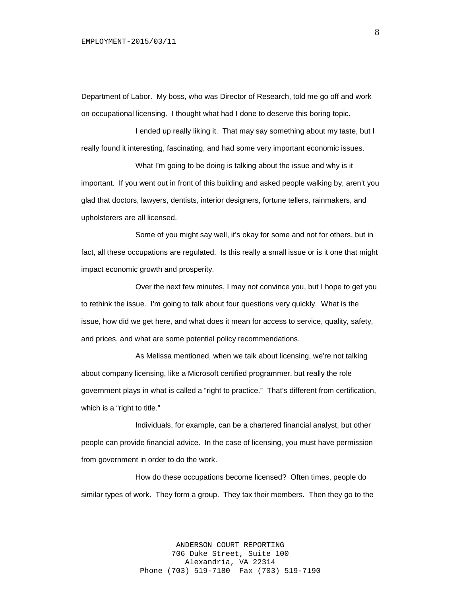Department of Labor. My boss, who was Director of Research, told me go off and work on occupational licensing. I thought what had I done to deserve this boring topic.

I ended up really liking it. That may say something about my taste, but I really found it interesting, fascinating, and had some very important economic issues.

What I'm going to be doing is talking about the issue and why is it important. If you went out in front of this building and asked people walking by, aren't you glad that doctors, lawyers, dentists, interior designers, fortune tellers, rainmakers, and upholsterers are all licensed.

Some of you might say well, it's okay for some and not for others, but in fact, all these occupations are regulated. Is this really a small issue or is it one that might impact economic growth and prosperity.

Over the next few minutes, I may not convince you, but I hope to get you to rethink the issue. I'm going to talk about four questions very quickly. What is the issue, how did we get here, and what does it mean for access to service, quality, safety, and prices, and what are some potential policy recommendations.

As Melissa mentioned, when we talk about licensing, we're not talking about company licensing, like a Microsoft certified programmer, but really the role government plays in what is called a "right to practice." That's different from certification, which is a "right to title."

Individuals, for example, can be a chartered financial analyst, but other people can provide financial advice. In the case of licensing, you must have permission from government in order to do the work.

How do these occupations become licensed? Often times, people do similar types of work. They form a group. They tax their members. Then they go to the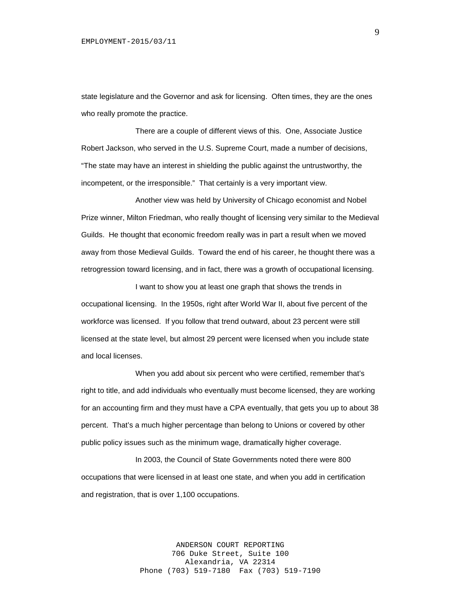state legislature and the Governor and ask for licensing. Often times, they are the ones who really promote the practice.

There are a couple of different views of this. One, Associate Justice Robert Jackson, who served in the U.S. Supreme Court, made a number of decisions, "The state may have an interest in shielding the public against the untrustworthy, the incompetent, or the irresponsible." That certainly is a very important view.

Another view was held by University of Chicago economist and Nobel Prize winner, Milton Friedman, who really thought of licensing very similar to the Medieval Guilds. He thought that economic freedom really was in part a result when we moved away from those Medieval Guilds. Toward the end of his career, he thought there was a retrogression toward licensing, and in fact, there was a growth of occupational licensing.

I want to show you at least one graph that shows the trends in occupational licensing. In the 1950s, right after World War II, about five percent of the workforce was licensed. If you follow that trend outward, about 23 percent were still licensed at the state level, but almost 29 percent were licensed when you include state and local licenses.

When you add about six percent who were certified, remember that's right to title, and add individuals who eventually must become licensed, they are working for an accounting firm and they must have a CPA eventually, that gets you up to about 38 percent. That's a much higher percentage than belong to Unions or covered by other public policy issues such as the minimum wage, dramatically higher coverage.

In 2003, the Council of State Governments noted there were 800 occupations that were licensed in at least one state, and when you add in certification and registration, that is over 1,100 occupations.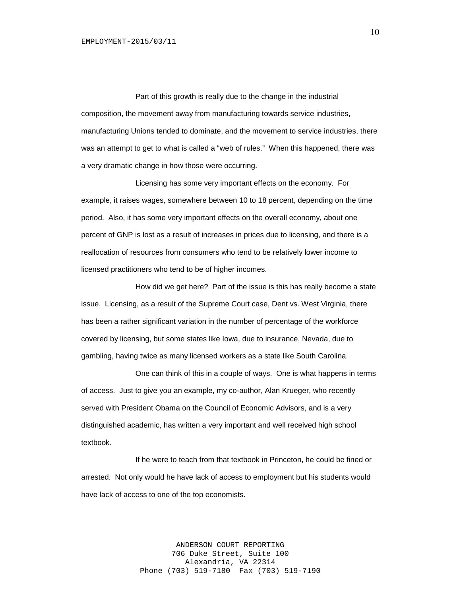Part of this growth is really due to the change in the industrial composition, the movement away from manufacturing towards service industries, manufacturing Unions tended to dominate, and the movement to service industries, there was an attempt to get to what is called a "web of rules." When this happened, there was a very dramatic change in how those were occurring.

Licensing has some very important effects on the economy. For example, it raises wages, somewhere between 10 to 18 percent, depending on the time period. Also, it has some very important effects on the overall economy, about one percent of GNP is lost as a result of increases in prices due to licensing, and there is a reallocation of resources from consumers who tend to be relatively lower income to licensed practitioners who tend to be of higher incomes.

How did we get here? Part of the issue is this has really become a state issue. Licensing, as a result of the Supreme Court case, Dent vs. West Virginia, there has been a rather significant variation in the number of percentage of the workforce covered by licensing, but some states like Iowa, due to insurance, Nevada, due to gambling, having twice as many licensed workers as a state like South Carolina.

One can think of this in a couple of ways. One is what happens in terms of access. Just to give you an example, my co-author, Alan Krueger, who recently served with President Obama on the Council of Economic Advisors, and is a very distinguished academic, has written a very important and well received high school textbook.

If he were to teach from that textbook in Princeton, he could be fined or arrested. Not only would he have lack of access to employment but his students would have lack of access to one of the top economists.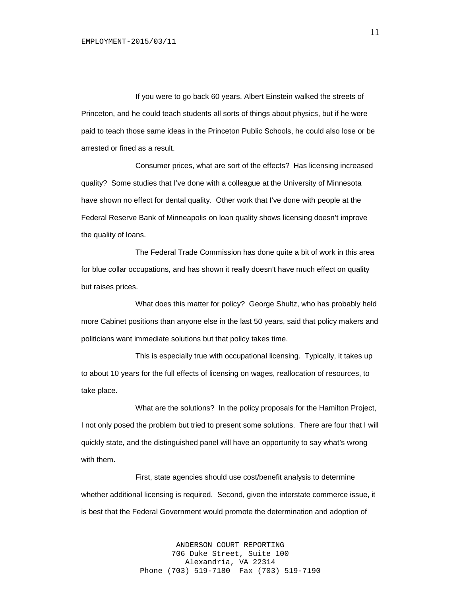If you were to go back 60 years, Albert Einstein walked the streets of Princeton, and he could teach students all sorts of things about physics, but if he were paid to teach those same ideas in the Princeton Public Schools, he could also lose or be arrested or fined as a result.

Consumer prices, what are sort of the effects? Has licensing increased quality? Some studies that I've done with a colleague at the University of Minnesota have shown no effect for dental quality. Other work that I've done with people at the Federal Reserve Bank of Minneapolis on loan quality shows licensing doesn't improve the quality of loans.

The Federal Trade Commission has done quite a bit of work in this area for blue collar occupations, and has shown it really doesn't have much effect on quality but raises prices.

What does this matter for policy? George Shultz, who has probably held more Cabinet positions than anyone else in the last 50 years, said that policy makers and politicians want immediate solutions but that policy takes time.

This is especially true with occupational licensing. Typically, it takes up to about 10 years for the full effects of licensing on wages, reallocation of resources, to take place.

What are the solutions? In the policy proposals for the Hamilton Project, I not only posed the problem but tried to present some solutions. There are four that I will quickly state, and the distinguished panel will have an opportunity to say what's wrong with them.

First, state agencies should use cost/benefit analysis to determine whether additional licensing is required. Second, given the interstate commerce issue, it is best that the Federal Government would promote the determination and adoption of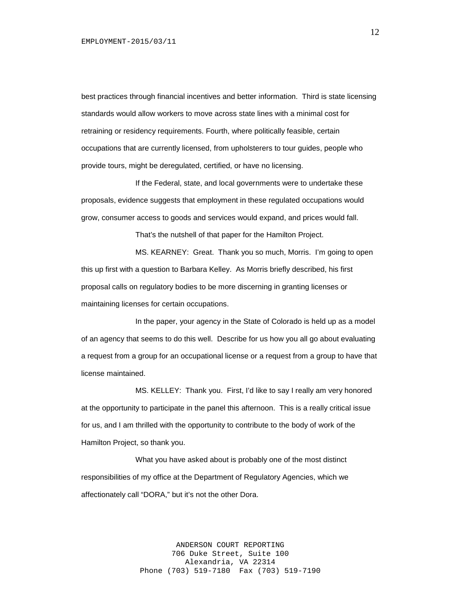best practices through financial incentives and better information. Third is state licensing standards would allow workers to move across state lines with a minimal cost for retraining or residency requirements. Fourth, where politically feasible, certain occupations that are currently licensed, from upholsterers to tour guides, people who provide tours, might be deregulated, certified, or have no licensing.

If the Federal, state, and local governments were to undertake these proposals, evidence suggests that employment in these regulated occupations would grow, consumer access to goods and services would expand, and prices would fall.

That's the nutshell of that paper for the Hamilton Project.

MS. KEARNEY: Great. Thank you so much, Morris. I'm going to open this up first with a question to Barbara Kelley. As Morris briefly described, his first proposal calls on regulatory bodies to be more discerning in granting licenses or maintaining licenses for certain occupations.

In the paper, your agency in the State of Colorado is held up as a model of an agency that seems to do this well. Describe for us how you all go about evaluating a request from a group for an occupational license or a request from a group to have that license maintained.

MS. KELLEY: Thank you. First, I'd like to say I really am very honored at the opportunity to participate in the panel this afternoon. This is a really critical issue for us, and I am thrilled with the opportunity to contribute to the body of work of the Hamilton Project, so thank you.

What you have asked about is probably one of the most distinct responsibilities of my office at the Department of Regulatory Agencies, which we affectionately call "DORA," but it's not the other Dora.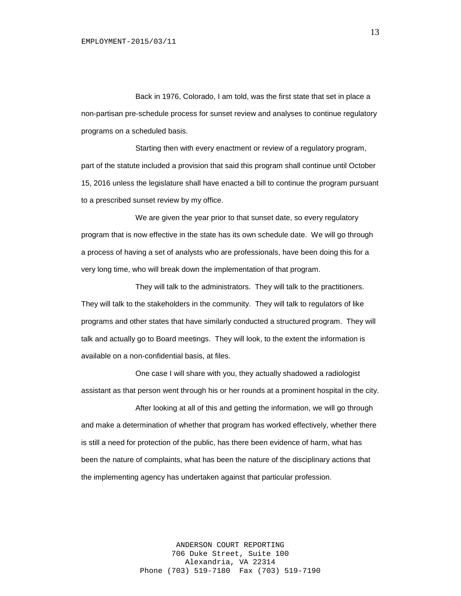Back in 1976, Colorado, I am told, was the first state that set in place a non-partisan pre-schedule process for sunset review and analyses to continue regulatory programs on a scheduled basis.

Starting then with every enactment or review of a regulatory program, part of the statute included a provision that said this program shall continue until October 15, 2016 unless the legislature shall have enacted a bill to continue the program pursuant to a prescribed sunset review by my office.

We are given the year prior to that sunset date, so every regulatory program that is now effective in the state has its own schedule date. We will go through a process of having a set of analysts who are professionals, have been doing this for a very long time, who will break down the implementation of that program.

They will talk to the administrators. They will talk to the practitioners. They will talk to the stakeholders in the community. They will talk to regulators of like programs and other states that have similarly conducted a structured program. They will talk and actually go to Board meetings. They will look, to the extent the information is available on a non-confidential basis, at files.

One case I will share with you, they actually shadowed a radiologist assistant as that person went through his or her rounds at a prominent hospital in the city.

After looking at all of this and getting the information, we will go through and make a determination of whether that program has worked effectively, whether there is still a need for protection of the public, has there been evidence of harm, what has been the nature of complaints, what has been the nature of the disciplinary actions that the implementing agency has undertaken against that particular profession.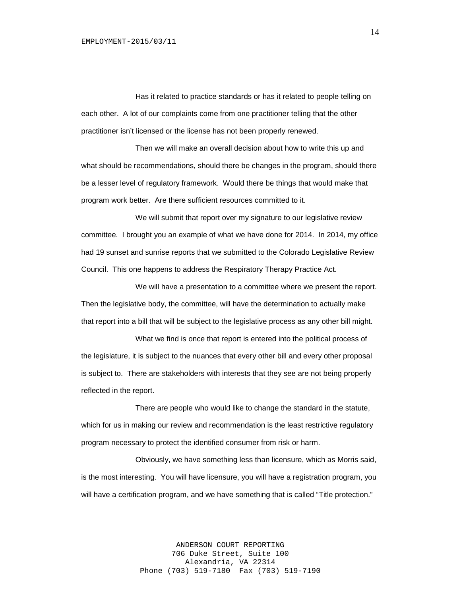Has it related to practice standards or has it related to people telling on each other. A lot of our complaints come from one practitioner telling that the other practitioner isn't licensed or the license has not been properly renewed.

Then we will make an overall decision about how to write this up and what should be recommendations, should there be changes in the program, should there be a lesser level of regulatory framework. Would there be things that would make that program work better. Are there sufficient resources committed to it.

We will submit that report over my signature to our legislative review committee. I brought you an example of what we have done for 2014. In 2014, my office had 19 sunset and sunrise reports that we submitted to the Colorado Legislative Review Council. This one happens to address the Respiratory Therapy Practice Act.

We will have a presentation to a committee where we present the report. Then the legislative body, the committee, will have the determination to actually make that report into a bill that will be subject to the legislative process as any other bill might.

What we find is once that report is entered into the political process of the legislature, it is subject to the nuances that every other bill and every other proposal is subject to. There are stakeholders with interests that they see are not being properly reflected in the report.

There are people who would like to change the standard in the statute, which for us in making our review and recommendation is the least restrictive regulatory program necessary to protect the identified consumer from risk or harm.

Obviously, we have something less than licensure, which as Morris said, is the most interesting. You will have licensure, you will have a registration program, you will have a certification program, and we have something that is called "Title protection."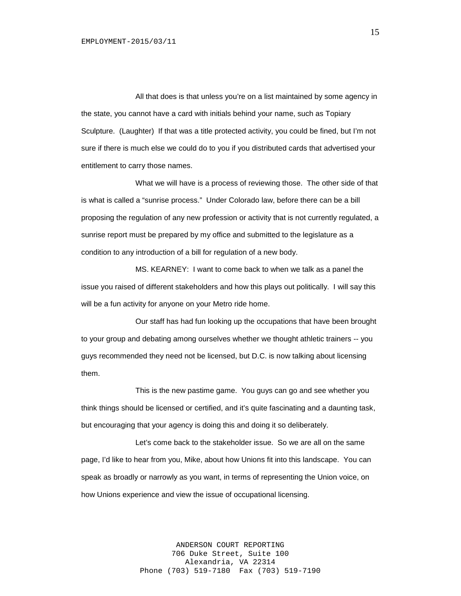All that does is that unless you're on a list maintained by some agency in the state, you cannot have a card with initials behind your name, such as Topiary Sculpture. (Laughter) If that was a title protected activity, you could be fined, but I'm not sure if there is much else we could do to you if you distributed cards that advertised your entitlement to carry those names.

What we will have is a process of reviewing those. The other side of that is what is called a "sunrise process." Under Colorado law, before there can be a bill proposing the regulation of any new profession or activity that is not currently regulated, a sunrise report must be prepared by my office and submitted to the legislature as a condition to any introduction of a bill for regulation of a new body.

MS. KEARNEY: I want to come back to when we talk as a panel the issue you raised of different stakeholders and how this plays out politically. I will say this will be a fun activity for anyone on your Metro ride home.

Our staff has had fun looking up the occupations that have been brought to your group and debating among ourselves whether we thought athletic trainers -- you guys recommended they need not be licensed, but D.C. is now talking about licensing them.

This is the new pastime game. You guys can go and see whether you think things should be licensed or certified, and it's quite fascinating and a daunting task, but encouraging that your agency is doing this and doing it so deliberately.

Let's come back to the stakeholder issue. So we are all on the same page, I'd like to hear from you, Mike, about how Unions fit into this landscape. You can speak as broadly or narrowly as you want, in terms of representing the Union voice, on how Unions experience and view the issue of occupational licensing.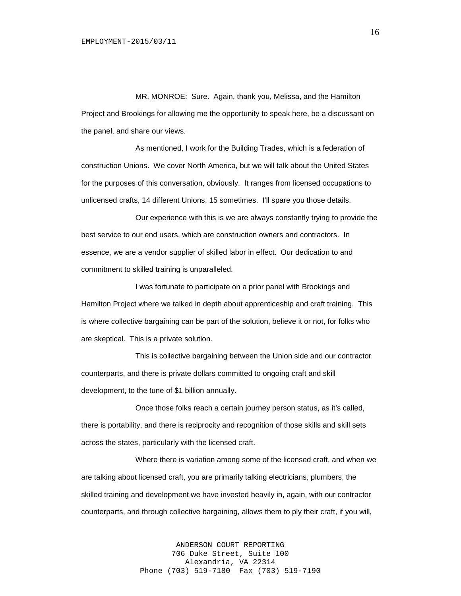MR. MONROE: Sure. Again, thank you, Melissa, and the Hamilton Project and Brookings for allowing me the opportunity to speak here, be a discussant on the panel, and share our views.

As mentioned, I work for the Building Trades, which is a federation of construction Unions. We cover North America, but we will talk about the United States for the purposes of this conversation, obviously. It ranges from licensed occupations to unlicensed crafts, 14 different Unions, 15 sometimes. I'll spare you those details.

Our experience with this is we are always constantly trying to provide the best service to our end users, which are construction owners and contractors. In essence, we are a vendor supplier of skilled labor in effect. Our dedication to and commitment to skilled training is unparalleled.

I was fortunate to participate on a prior panel with Brookings and Hamilton Project where we talked in depth about apprenticeship and craft training. This is where collective bargaining can be part of the solution, believe it or not, for folks who are skeptical. This is a private solution.

This is collective bargaining between the Union side and our contractor counterparts, and there is private dollars committed to ongoing craft and skill development, to the tune of \$1 billion annually.

Once those folks reach a certain journey person status, as it's called, there is portability, and there is reciprocity and recognition of those skills and skill sets across the states, particularly with the licensed craft.

Where there is variation among some of the licensed craft, and when we are talking about licensed craft, you are primarily talking electricians, plumbers, the skilled training and development we have invested heavily in, again, with our contractor counterparts, and through collective bargaining, allows them to ply their craft, if you will,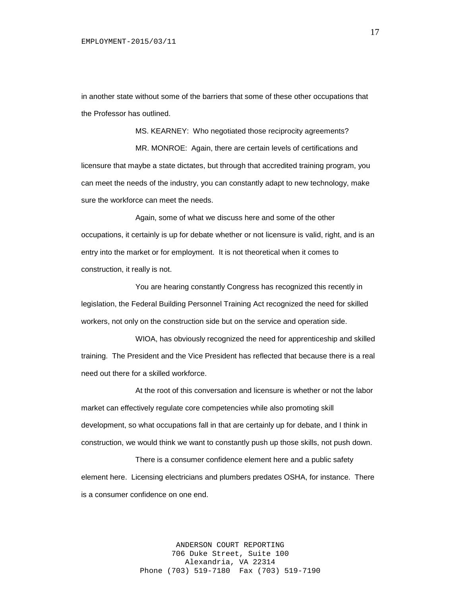in another state without some of the barriers that some of these other occupations that the Professor has outlined.

MS. KEARNEY: Who negotiated those reciprocity agreements? MR. MONROE: Again, there are certain levels of certifications and licensure that maybe a state dictates, but through that accredited training program, you can meet the needs of the industry, you can constantly adapt to new technology, make sure the workforce can meet the needs.

Again, some of what we discuss here and some of the other occupations, it certainly is up for debate whether or not licensure is valid, right, and is an entry into the market or for employment. It is not theoretical when it comes to construction, it really is not.

You are hearing constantly Congress has recognized this recently in legislation, the Federal Building Personnel Training Act recognized the need for skilled workers, not only on the construction side but on the service and operation side.

WIOA, has obviously recognized the need for apprenticeship and skilled training. The President and the Vice President has reflected that because there is a real need out there for a skilled workforce.

At the root of this conversation and licensure is whether or not the labor market can effectively regulate core competencies while also promoting skill development, so what occupations fall in that are certainly up for debate, and I think in construction, we would think we want to constantly push up those skills, not push down.

There is a consumer confidence element here and a public safety element here. Licensing electricians and plumbers predates OSHA, for instance. There is a consumer confidence on one end.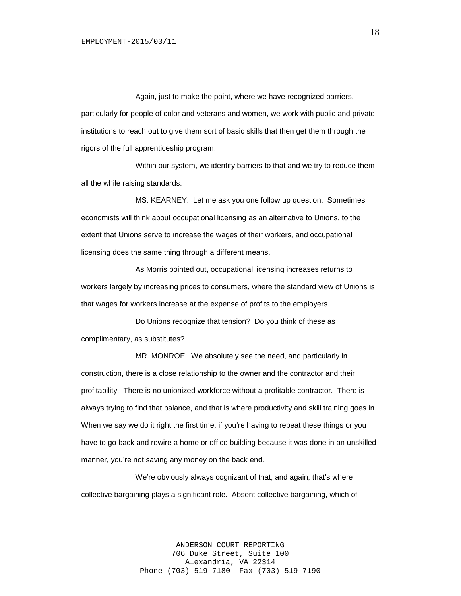Again, just to make the point, where we have recognized barriers, particularly for people of color and veterans and women, we work with public and private institutions to reach out to give them sort of basic skills that then get them through the rigors of the full apprenticeship program.

Within our system, we identify barriers to that and we try to reduce them all the while raising standards.

MS. KEARNEY: Let me ask you one follow up question. Sometimes economists will think about occupational licensing as an alternative to Unions, to the extent that Unions serve to increase the wages of their workers, and occupational licensing does the same thing through a different means.

As Morris pointed out, occupational licensing increases returns to workers largely by increasing prices to consumers, where the standard view of Unions is that wages for workers increase at the expense of profits to the employers.

Do Unions recognize that tension? Do you think of these as complimentary, as substitutes?

MR. MONROE: We absolutely see the need, and particularly in construction, there is a close relationship to the owner and the contractor and their profitability. There is no unionized workforce without a profitable contractor. There is always trying to find that balance, and that is where productivity and skill training goes in. When we say we do it right the first time, if you're having to repeat these things or you have to go back and rewire a home or office building because it was done in an unskilled manner, you're not saving any money on the back end.

We're obviously always cognizant of that, and again, that's where collective bargaining plays a significant role. Absent collective bargaining, which of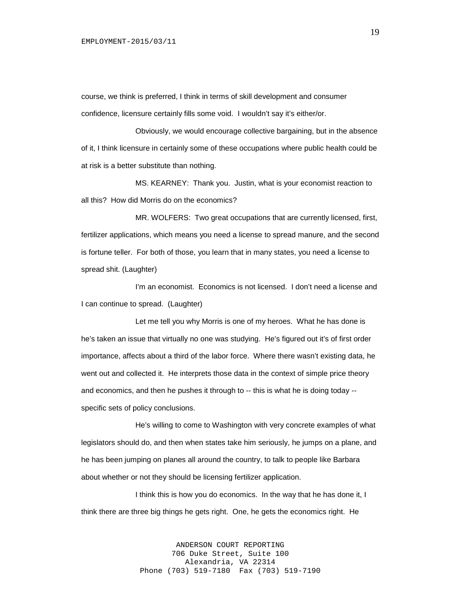course, we think is preferred, I think in terms of skill development and consumer confidence, licensure certainly fills some void. I wouldn't say it's either/or.

Obviously, we would encourage collective bargaining, but in the absence of it, I think licensure in certainly some of these occupations where public health could be at risk is a better substitute than nothing.

MS. KEARNEY: Thank you. Justin, what is your economist reaction to all this? How did Morris do on the economics?

MR. WOLFERS: Two great occupations that are currently licensed, first, fertilizer applications, which means you need a license to spread manure, and the second is fortune teller. For both of those, you learn that in many states, you need a license to spread shit. (Laughter)

I'm an economist. Economics is not licensed. I don't need a license and I can continue to spread. (Laughter)

Let me tell you why Morris is one of my heroes. What he has done is he's taken an issue that virtually no one was studying. He's figured out it's of first order importance, affects about a third of the labor force. Where there wasn't existing data, he went out and collected it. He interprets those data in the context of simple price theory and economics, and then he pushes it through to -- this is what he is doing today -specific sets of policy conclusions.

He's willing to come to Washington with very concrete examples of what legislators should do, and then when states take him seriously, he jumps on a plane, and he has been jumping on planes all around the country, to talk to people like Barbara about whether or not they should be licensing fertilizer application.

I think this is how you do economics. In the way that he has done it, I think there are three big things he gets right. One, he gets the economics right. He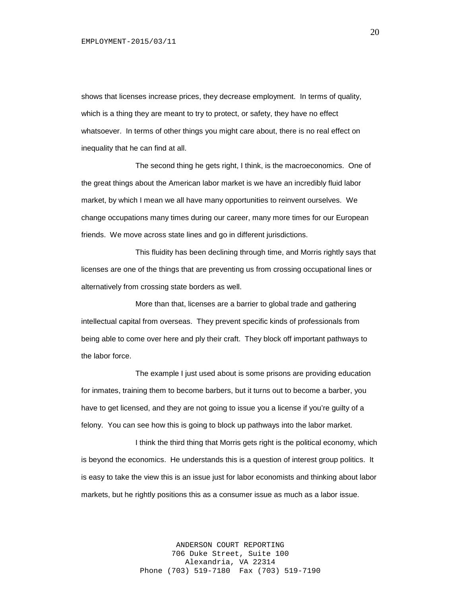shows that licenses increase prices, they decrease employment. In terms of quality, which is a thing they are meant to try to protect, or safety, they have no effect whatsoever. In terms of other things you might care about, there is no real effect on inequality that he can find at all.

The second thing he gets right, I think, is the macroeconomics. One of the great things about the American labor market is we have an incredibly fluid labor market, by which I mean we all have many opportunities to reinvent ourselves. We change occupations many times during our career, many more times for our European friends. We move across state lines and go in different jurisdictions.

This fluidity has been declining through time, and Morris rightly says that licenses are one of the things that are preventing us from crossing occupational lines or alternatively from crossing state borders as well.

More than that, licenses are a barrier to global trade and gathering intellectual capital from overseas. They prevent specific kinds of professionals from being able to come over here and ply their craft. They block off important pathways to the labor force.

The example I just used about is some prisons are providing education for inmates, training them to become barbers, but it turns out to become a barber, you have to get licensed, and they are not going to issue you a license if you're guilty of a felony. You can see how this is going to block up pathways into the labor market.

I think the third thing that Morris gets right is the political economy, which is beyond the economics. He understands this is a question of interest group politics. It is easy to take the view this is an issue just for labor economists and thinking about labor markets, but he rightly positions this as a consumer issue as much as a labor issue.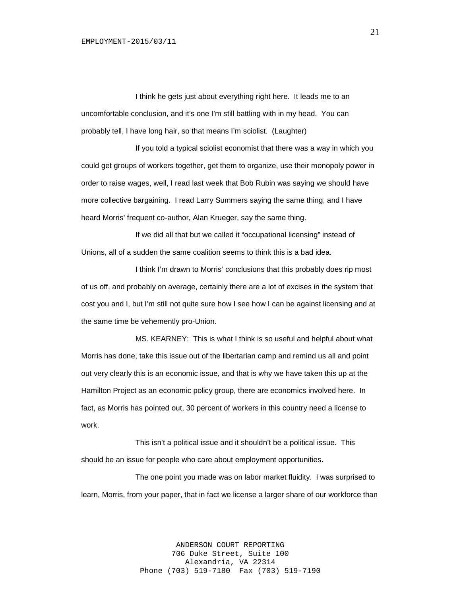I think he gets just about everything right here. It leads me to an uncomfortable conclusion, and it's one I'm still battling with in my head. You can probably tell, I have long hair, so that means I'm sciolist. (Laughter)

If you told a typical sciolist economist that there was a way in which you could get groups of workers together, get them to organize, use their monopoly power in order to raise wages, well, I read last week that Bob Rubin was saying we should have more collective bargaining. I read Larry Summers saying the same thing, and I have heard Morris' frequent co-author, Alan Krueger, say the same thing.

If we did all that but we called it "occupational licensing" instead of Unions, all of a sudden the same coalition seems to think this is a bad idea.

I think I'm drawn to Morris' conclusions that this probably does rip most of us off, and probably on average, certainly there are a lot of excises in the system that cost you and I, but I'm still not quite sure how I see how I can be against licensing and at the same time be vehemently pro-Union.

MS. KEARNEY: This is what I think is so useful and helpful about what Morris has done, take this issue out of the libertarian camp and remind us all and point out very clearly this is an economic issue, and that is why we have taken this up at the Hamilton Project as an economic policy group, there are economics involved here. In fact, as Morris has pointed out, 30 percent of workers in this country need a license to work.

This isn't a political issue and it shouldn't be a political issue. This should be an issue for people who care about employment opportunities.

The one point you made was on labor market fluidity. I was surprised to learn, Morris, from your paper, that in fact we license a larger share of our workforce than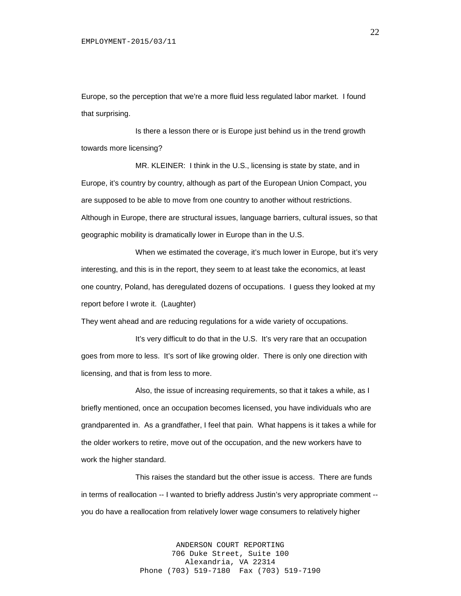Europe, so the perception that we're a more fluid less regulated labor market. I found that surprising.

Is there a lesson there or is Europe just behind us in the trend growth towards more licensing?

MR. KLEINER: I think in the U.S., licensing is state by state, and in Europe, it's country by country, although as part of the European Union Compact, you are supposed to be able to move from one country to another without restrictions. Although in Europe, there are structural issues, language barriers, cultural issues, so that geographic mobility is dramatically lower in Europe than in the U.S.

When we estimated the coverage, it's much lower in Europe, but it's very interesting, and this is in the report, they seem to at least take the economics, at least one country, Poland, has deregulated dozens of occupations. I guess they looked at my report before I wrote it. (Laughter)

They went ahead and are reducing regulations for a wide variety of occupations.

It's very difficult to do that in the U.S. It's very rare that an occupation goes from more to less. It's sort of like growing older. There is only one direction with licensing, and that is from less to more.

Also, the issue of increasing requirements, so that it takes a while, as I briefly mentioned, once an occupation becomes licensed, you have individuals who are grandparented in. As a grandfather, I feel that pain. What happens is it takes a while for the older workers to retire, move out of the occupation, and the new workers have to work the higher standard.

This raises the standard but the other issue is access. There are funds in terms of reallocation -- I wanted to briefly address Justin's very appropriate comment - you do have a reallocation from relatively lower wage consumers to relatively higher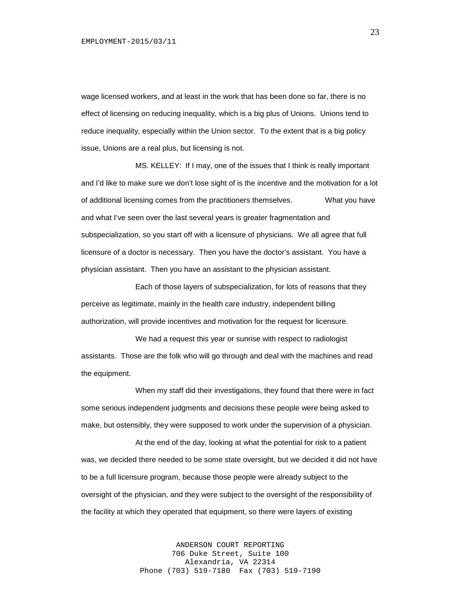wage licensed workers, and at least in the work that has been done so far, there is no effect of licensing on reducing inequality, which is a big plus of Unions. Unions tend to reduce inequality, especially within the Union sector. To the extent that is a big policy issue, Unions are a real plus, but licensing is not.

MS. KELLEY: If I may, one of the issues that I think is really important and I'd like to make sure we don't lose sight of is the incentive and the motivation for a lot of additional licensing comes from the practitioners themselves. What you have and what I've seen over the last several years is greater fragmentation and subspecialization, so you start off with a licensure of physicians. We all agree that full licensure of a doctor is necessary. Then you have the doctor's assistant. You have a physician assistant. Then you have an assistant to the physician assistant.

Each of those layers of subspecialization, for lots of reasons that they perceive as legitimate, mainly in the health care industry, independent billing authorization, will provide incentives and motivation for the request for licensure.

We had a request this year or sunrise with respect to radiologist assistants. Those are the folk who will go through and deal with the machines and read the equipment.

When my staff did their investigations, they found that there were in fact some serious independent judgments and decisions these people were being asked to make, but ostensibly, they were supposed to work under the supervision of a physician.

At the end of the day, looking at what the potential for risk to a patient was, we decided there needed to be some state oversight, but we decided it did not have to be a full licensure program, because those people were already subject to the oversight of the physician, and they were subject to the oversight of the responsibility of the facility at which they operated that equipment, so there were layers of existing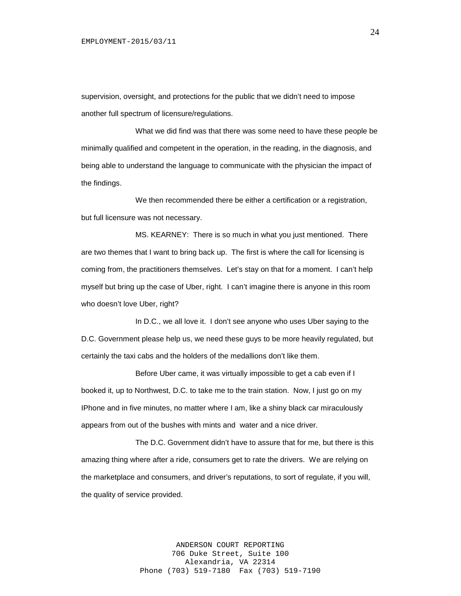supervision, oversight, and protections for the public that we didn't need to impose another full spectrum of licensure/regulations.

What we did find was that there was some need to have these people be minimally qualified and competent in the operation, in the reading, in the diagnosis, and being able to understand the language to communicate with the physician the impact of the findings.

We then recommended there be either a certification or a registration, but full licensure was not necessary.

MS. KEARNEY: There is so much in what you just mentioned. There are two themes that I want to bring back up. The first is where the call for licensing is coming from, the practitioners themselves. Let's stay on that for a moment. I can't help myself but bring up the case of Uber, right. I can't imagine there is anyone in this room who doesn't love Uber, right?

In D.C., we all love it. I don't see anyone who uses Uber saying to the D.C. Government please help us, we need these guys to be more heavily regulated, but certainly the taxi cabs and the holders of the medallions don't like them.

Before Uber came, it was virtually impossible to get a cab even if I booked it, up to Northwest, D.C. to take me to the train station. Now, I just go on my IPhone and in five minutes, no matter where I am, like a shiny black car miraculously appears from out of the bushes with mints and water and a nice driver.

The D.C. Government didn't have to assure that for me, but there is this amazing thing where after a ride, consumers get to rate the drivers. We are relying on the marketplace and consumers, and driver's reputations, to sort of regulate, if you will, the quality of service provided.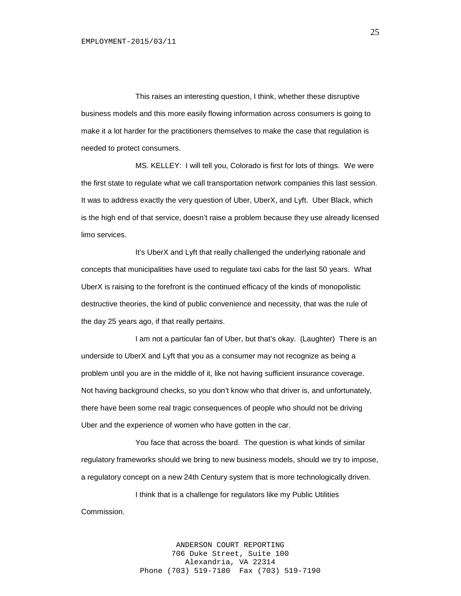This raises an interesting question, I think, whether these disruptive business models and this more easily flowing information across consumers is going to make it a lot harder for the practitioners themselves to make the case that regulation is needed to protect consumers.

MS. KELLEY: I will tell you, Colorado is first for lots of things. We were the first state to regulate what we call transportation network companies this last session. It was to address exactly the very question of Uber, UberX, and Lyft. Uber Black, which is the high end of that service, doesn't raise a problem because they use already licensed limo services.

It's UberX and Lyft that really challenged the underlying rationale and concepts that municipalities have used to regulate taxi cabs for the last 50 years. What UberX is raising to the forefront is the continued efficacy of the kinds of monopolistic destructive theories, the kind of public convenience and necessity, that was the rule of the day 25 years ago, if that really pertains.

I am not a particular fan of Uber, but that's okay. (Laughter) There is an underside to UberX and Lyft that you as a consumer may not recognize as being a problem until you are in the middle of it, like not having sufficient insurance coverage. Not having background checks, so you don't know who that driver is, and unfortunately, there have been some real tragic consequences of people who should not be driving Uber and the experience of women who have gotten in the car.

You face that across the board. The question is what kinds of similar regulatory frameworks should we bring to new business models, should we try to impose, a regulatory concept on a new 24th Century system that is more technologically driven.

I think that is a challenge for regulators like my Public Utilities Commission.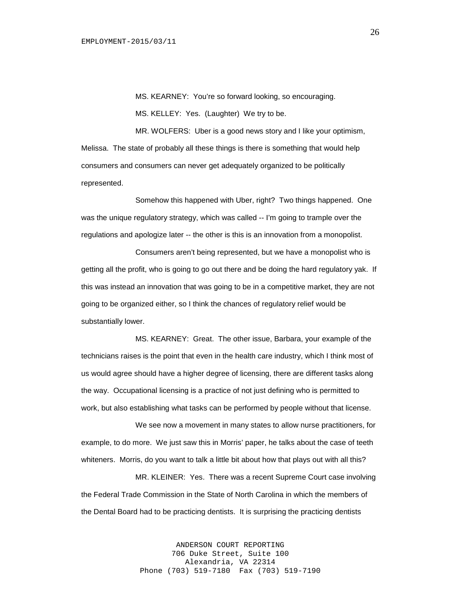MS. KEARNEY: You're so forward looking, so encouraging. MS. KELLEY: Yes. (Laughter) We try to be.

MR. WOLFERS: Uber is a good news story and I like your optimism, Melissa. The state of probably all these things is there is something that would help consumers and consumers can never get adequately organized to be politically represented.

Somehow this happened with Uber, right? Two things happened. One was the unique regulatory strategy, which was called -- I'm going to trample over the regulations and apologize later -- the other is this is an innovation from a monopolist.

Consumers aren't being represented, but we have a monopolist who is getting all the profit, who is going to go out there and be doing the hard regulatory yak. If this was instead an innovation that was going to be in a competitive market, they are not going to be organized either, so I think the chances of regulatory relief would be substantially lower.

MS. KEARNEY: Great. The other issue, Barbara, your example of the technicians raises is the point that even in the health care industry, which I think most of us would agree should have a higher degree of licensing, there are different tasks along the way. Occupational licensing is a practice of not just defining who is permitted to work, but also establishing what tasks can be performed by people without that license.

We see now a movement in many states to allow nurse practitioners, for example, to do more. We just saw this in Morris' paper, he talks about the case of teeth whiteners. Morris, do you want to talk a little bit about how that plays out with all this?

MR. KLEINER: Yes. There was a recent Supreme Court case involving the Federal Trade Commission in the State of North Carolina in which the members of the Dental Board had to be practicing dentists. It is surprising the practicing dentists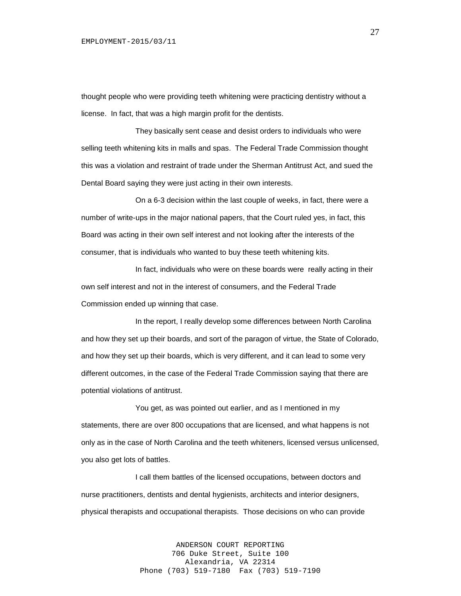thought people who were providing teeth whitening were practicing dentistry without a license. In fact, that was a high margin profit for the dentists.

They basically sent cease and desist orders to individuals who were selling teeth whitening kits in malls and spas. The Federal Trade Commission thought this was a violation and restraint of trade under the Sherman Antitrust Act, and sued the Dental Board saying they were just acting in their own interests.

On a 6-3 decision within the last couple of weeks, in fact, there were a number of write-ups in the major national papers, that the Court ruled yes, in fact, this Board was acting in their own self interest and not looking after the interests of the consumer, that is individuals who wanted to buy these teeth whitening kits.

In fact, individuals who were on these boards were really acting in their own self interest and not in the interest of consumers, and the Federal Trade Commission ended up winning that case.

In the report, I really develop some differences between North Carolina and how they set up their boards, and sort of the paragon of virtue, the State of Colorado, and how they set up their boards, which is very different, and it can lead to some very different outcomes, in the case of the Federal Trade Commission saying that there are potential violations of antitrust.

You get, as was pointed out earlier, and as I mentioned in my statements, there are over 800 occupations that are licensed, and what happens is not only as in the case of North Carolina and the teeth whiteners, licensed versus unlicensed, you also get lots of battles.

I call them battles of the licensed occupations, between doctors and nurse practitioners, dentists and dental hygienists, architects and interior designers, physical therapists and occupational therapists. Those decisions on who can provide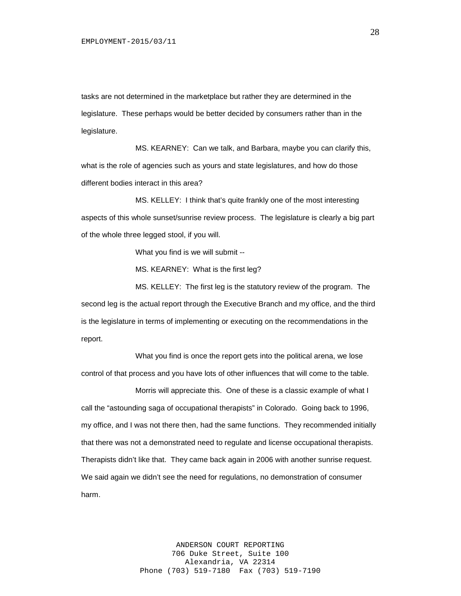tasks are not determined in the marketplace but rather they are determined in the legislature. These perhaps would be better decided by consumers rather than in the legislature.

MS. KEARNEY: Can we talk, and Barbara, maybe you can clarify this, what is the role of agencies such as yours and state legislatures, and how do those different bodies interact in this area?

MS. KELLEY: I think that's quite frankly one of the most interesting aspects of this whole sunset/sunrise review process. The legislature is clearly a big part of the whole three legged stool, if you will.

What you find is we will submit --

MS. KEARNEY: What is the first leg?

MS. KELLEY: The first leg is the statutory review of the program. The second leg is the actual report through the Executive Branch and my office, and the third is the legislature in terms of implementing or executing on the recommendations in the report.

What you find is once the report gets into the political arena, we lose control of that process and you have lots of other influences that will come to the table.

Morris will appreciate this. One of these is a classic example of what I call the "astounding saga of occupational therapists" in Colorado. Going back to 1996, my office, and I was not there then, had the same functions. They recommended initially that there was not a demonstrated need to regulate and license occupational therapists. Therapists didn't like that. They came back again in 2006 with another sunrise request. We said again we didn't see the need for regulations, no demonstration of consumer harm.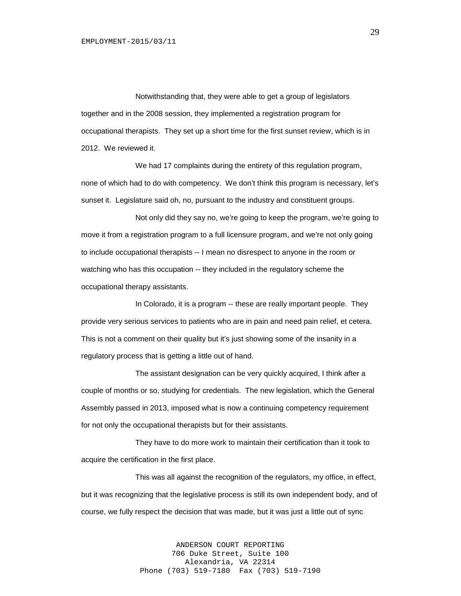Notwithstanding that, they were able to get a group of legislators together and in the 2008 session, they implemented a registration program for occupational therapists. They set up a short time for the first sunset review, which is in 2012. We reviewed it.

We had 17 complaints during the entirety of this regulation program, none of which had to do with competency. We don't think this program is necessary, let's sunset it. Legislature said oh, no, pursuant to the industry and constituent groups.

Not only did they say no, we're going to keep the program, we're going to move it from a registration program to a full licensure program, and we're not only going to include occupational therapists -- I mean no disrespect to anyone in the room or watching who has this occupation -- they included in the regulatory scheme the occupational therapy assistants.

In Colorado, it is a program -- these are really important people. They provide very serious services to patients who are in pain and need pain relief, et cetera. This is not a comment on their quality but it's just showing some of the insanity in a regulatory process that is getting a little out of hand.

The assistant designation can be very quickly acquired, I think after a couple of months or so, studying for credentials. The new legislation, which the General Assembly passed in 2013, imposed what is now a continuing competency requirement for not only the occupational therapists but for their assistants.

They have to do more work to maintain their certification than it took to acquire the certification in the first place.

This was all against the recognition of the regulators, my office, in effect, but it was recognizing that the legislative process is still its own independent body, and of course, we fully respect the decision that was made, but it was just a little out of sync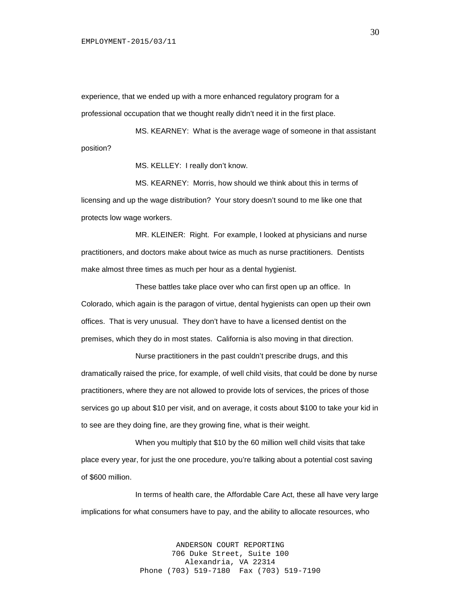experience, that we ended up with a more enhanced regulatory program for a professional occupation that we thought really didn't need it in the first place.

MS. KEARNEY: What is the average wage of someone in that assistant position?

MS. KELLEY: I really don't know.

MS. KEARNEY: Morris, how should we think about this in terms of licensing and up the wage distribution? Your story doesn't sound to me like one that protects low wage workers.

MR. KLEINER: Right. For example, I looked at physicians and nurse practitioners, and doctors make about twice as much as nurse practitioners. Dentists make almost three times as much per hour as a dental hygienist.

These battles take place over who can first open up an office. In Colorado, which again is the paragon of virtue, dental hygienists can open up their own offices. That is very unusual. They don't have to have a licensed dentist on the premises, which they do in most states. California is also moving in that direction.

Nurse practitioners in the past couldn't prescribe drugs, and this dramatically raised the price, for example, of well child visits, that could be done by nurse practitioners, where they are not allowed to provide lots of services, the prices of those services go up about \$10 per visit, and on average, it costs about \$100 to take your kid in to see are they doing fine, are they growing fine, what is their weight.

When you multiply that \$10 by the 60 million well child visits that take place every year, for just the one procedure, you're talking about a potential cost saving of \$600 million.

In terms of health care, the Affordable Care Act, these all have very large implications for what consumers have to pay, and the ability to allocate resources, who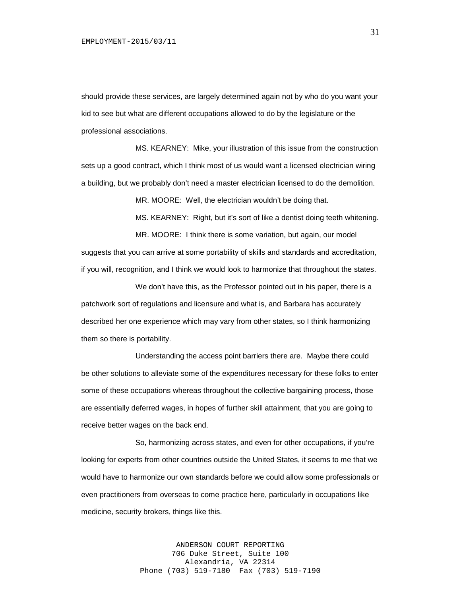should provide these services, are largely determined again not by who do you want your kid to see but what are different occupations allowed to do by the legislature or the professional associations.

MS. KEARNEY: Mike, your illustration of this issue from the construction sets up a good contract, which I think most of us would want a licensed electrician wiring a building, but we probably don't need a master electrician licensed to do the demolition.

MR. MOORE: Well, the electrician wouldn't be doing that.

MS. KEARNEY: Right, but it's sort of like a dentist doing teeth whitening. MR. MOORE: I think there is some variation, but again, our model suggests that you can arrive at some portability of skills and standards and accreditation, if you will, recognition, and I think we would look to harmonize that throughout the states.

We don't have this, as the Professor pointed out in his paper, there is a patchwork sort of regulations and licensure and what is, and Barbara has accurately described her one experience which may vary from other states, so I think harmonizing them so there is portability.

Understanding the access point barriers there are. Maybe there could be other solutions to alleviate some of the expenditures necessary for these folks to enter some of these occupations whereas throughout the collective bargaining process, those are essentially deferred wages, in hopes of further skill attainment, that you are going to receive better wages on the back end.

So, harmonizing across states, and even for other occupations, if you're looking for experts from other countries outside the United States, it seems to me that we would have to harmonize our own standards before we could allow some professionals or even practitioners from overseas to come practice here, particularly in occupations like medicine, security brokers, things like this.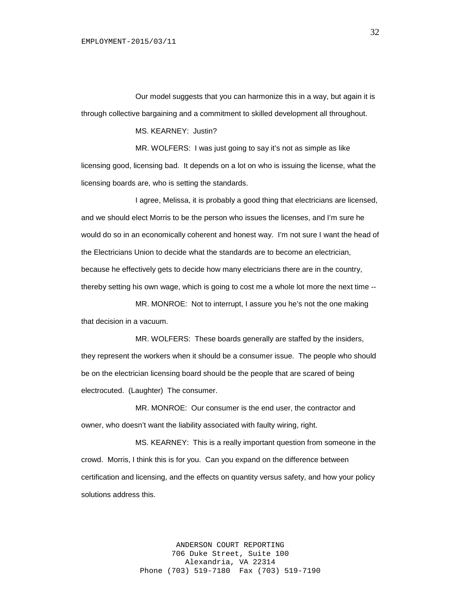Our model suggests that you can harmonize this in a way, but again it is through collective bargaining and a commitment to skilled development all throughout.

MS. KEARNEY: Justin?

MR. WOLFERS: I was just going to say it's not as simple as like licensing good, licensing bad. It depends on a lot on who is issuing the license, what the licensing boards are, who is setting the standards.

I agree, Melissa, it is probably a good thing that electricians are licensed, and we should elect Morris to be the person who issues the licenses, and I'm sure he would do so in an economically coherent and honest way. I'm not sure I want the head of the Electricians Union to decide what the standards are to become an electrician, because he effectively gets to decide how many electricians there are in the country, thereby setting his own wage, which is going to cost me a whole lot more the next time --

MR. MONROE: Not to interrupt, I assure you he's not the one making that decision in a vacuum.

MR. WOLFERS: These boards generally are staffed by the insiders, they represent the workers when it should be a consumer issue. The people who should be on the electrician licensing board should be the people that are scared of being electrocuted. (Laughter) The consumer.

MR. MONROE: Our consumer is the end user, the contractor and owner, who doesn't want the liability associated with faulty wiring, right.

MS. KEARNEY: This is a really important question from someone in the crowd. Morris, I think this is for you. Can you expand on the difference between certification and licensing, and the effects on quantity versus safety, and how your policy solutions address this.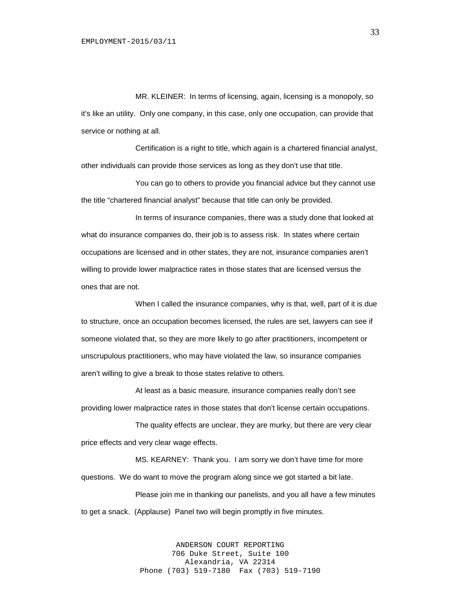MR. KLEINER: In terms of licensing, again, licensing is a monopoly, so it's like an utility. Only one company, in this case, only one occupation, can provide that service or nothing at all.

Certification is a right to title, which again is a chartered financial analyst, other individuals can provide those services as long as they don't use that title.

You can go to others to provide you financial advice but they cannot use the title "chartered financial analyst" because that title can only be provided.

In terms of insurance companies, there was a study done that looked at what do insurance companies do, their job is to assess risk. In states where certain occupations are licensed and in other states, they are not, insurance companies aren't willing to provide lower malpractice rates in those states that are licensed versus the ones that are not.

When I called the insurance companies, why is that, well, part of it is due to structure, once an occupation becomes licensed, the rules are set, lawyers can see if someone violated that, so they are more likely to go after practitioners, incompetent or unscrupulous practitioners, who may have violated the law, so insurance companies aren't willing to give a break to those states relative to others.

At least as a basic measure, insurance companies really don't see providing lower malpractice rates in those states that don't license certain occupations.

The quality effects are unclear, they are murky, but there are very clear price effects and very clear wage effects.

MS. KEARNEY: Thank you. I am sorry we don't have time for more questions. We do want to move the program along since we got started a bit late.

Please join me in thanking our panelists, and you all have a few minutes to get a snack. (Applause) Panel two will begin promptly in five minutes.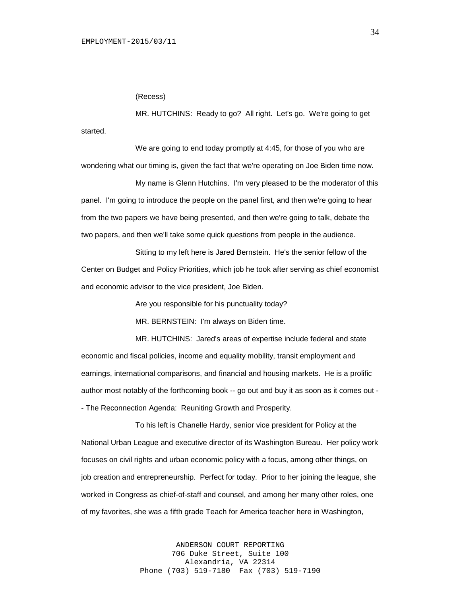#### (Recess)

MR. HUTCHINS: Ready to go? All right. Let's go. We're going to get started.

We are going to end today promptly at 4:45, for those of you who are wondering what our timing is, given the fact that we're operating on Joe Biden time now.

My name is Glenn Hutchins. I'm very pleased to be the moderator of this panel. I'm going to introduce the people on the panel first, and then we're going to hear from the two papers we have being presented, and then we're going to talk, debate the two papers, and then we'll take some quick questions from people in the audience.

Sitting to my left here is Jared Bernstein. He's the senior fellow of the Center on Budget and Policy Priorities, which job he took after serving as chief economist and economic advisor to the vice president, Joe Biden.

Are you responsible for his punctuality today?

MR. BERNSTEIN: I'm always on Biden time.

MR. HUTCHINS: Jared's areas of expertise include federal and state economic and fiscal policies, income and equality mobility, transit employment and earnings, international comparisons, and financial and housing markets. He is a prolific author most notably of the forthcoming book -- go out and buy it as soon as it comes out - - The Reconnection Agenda: Reuniting Growth and Prosperity.

To his left is Chanelle Hardy, senior vice president for Policy at the National Urban League and executive director of its Washington Bureau. Her policy work focuses on civil rights and urban economic policy with a focus, among other things, on job creation and entrepreneurship. Perfect for today. Prior to her joining the league, she worked in Congress as chief-of-staff and counsel, and among her many other roles, one of my favorites, she was a fifth grade Teach for America teacher here in Washington,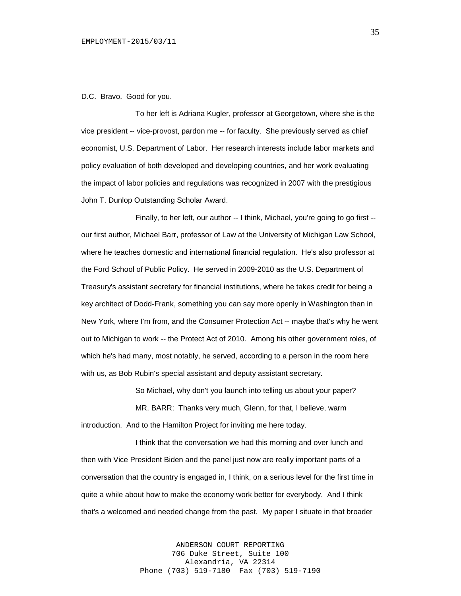#### D.C. Bravo. Good for you.

To her left is Adriana Kugler, professor at Georgetown, where she is the vice president -- vice-provost, pardon me -- for faculty. She previously served as chief economist, U.S. Department of Labor. Her research interests include labor markets and policy evaluation of both developed and developing countries, and her work evaluating the impact of labor policies and regulations was recognized in 2007 with the prestigious John T. Dunlop Outstanding Scholar Award.

Finally, to her left, our author -- I think, Michael, you're going to go first - our first author, Michael Barr, professor of Law at the University of Michigan Law School, where he teaches domestic and international financial regulation. He's also professor at the Ford School of Public Policy. He served in 2009-2010 as the U.S. Department of Treasury's assistant secretary for financial institutions, where he takes credit for being a key architect of Dodd-Frank, something you can say more openly in Washington than in New York, where I'm from, and the Consumer Protection Act -- maybe that's why he went out to Michigan to work -- the Protect Act of 2010. Among his other government roles, of which he's had many, most notably, he served, according to a person in the room here with us, as Bob Rubin's special assistant and deputy assistant secretary.

So Michael, why don't you launch into telling us about your paper? MR. BARR: Thanks very much, Glenn, for that, I believe, warm introduction. And to the Hamilton Project for inviting me here today.

I think that the conversation we had this morning and over lunch and then with Vice President Biden and the panel just now are really important parts of a conversation that the country is engaged in, I think, on a serious level for the first time in quite a while about how to make the economy work better for everybody. And I think that's a welcomed and needed change from the past. My paper I situate in that broader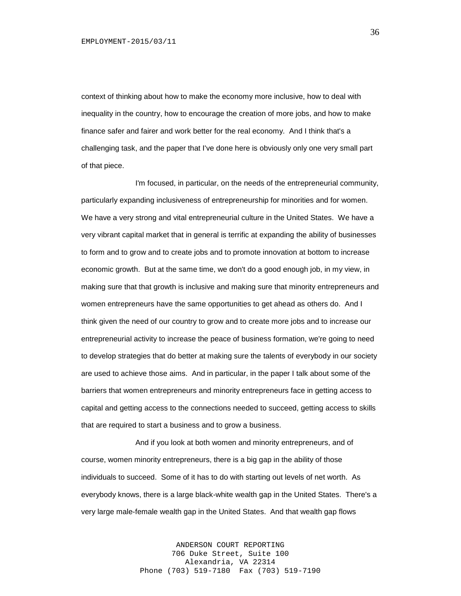context of thinking about how to make the economy more inclusive, how to deal with inequality in the country, how to encourage the creation of more jobs, and how to make finance safer and fairer and work better for the real economy. And I think that's a challenging task, and the paper that I've done here is obviously only one very small part of that piece.

I'm focused, in particular, on the needs of the entrepreneurial community, particularly expanding inclusiveness of entrepreneurship for minorities and for women. We have a very strong and vital entrepreneurial culture in the United States. We have a very vibrant capital market that in general is terrific at expanding the ability of businesses to form and to grow and to create jobs and to promote innovation at bottom to increase economic growth. But at the same time, we don't do a good enough job, in my view, in making sure that that growth is inclusive and making sure that minority entrepreneurs and women entrepreneurs have the same opportunities to get ahead as others do. And I think given the need of our country to grow and to create more jobs and to increase our entrepreneurial activity to increase the peace of business formation, we're going to need to develop strategies that do better at making sure the talents of everybody in our society are used to achieve those aims. And in particular, in the paper I talk about some of the barriers that women entrepreneurs and minority entrepreneurs face in getting access to capital and getting access to the connections needed to succeed, getting access to skills that are required to start a business and to grow a business.

And if you look at both women and minority entrepreneurs, and of course, women minority entrepreneurs, there is a big gap in the ability of those individuals to succeed. Some of it has to do with starting out levels of net worth. As everybody knows, there is a large black-white wealth gap in the United States. There's a very large male-female wealth gap in the United States. And that wealth gap flows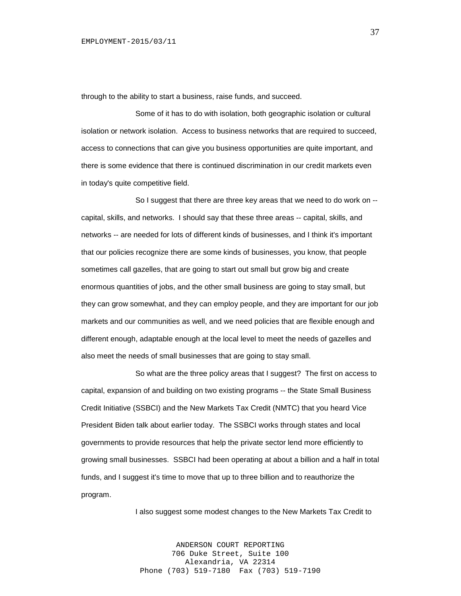through to the ability to start a business, raise funds, and succeed.

Some of it has to do with isolation, both geographic isolation or cultural isolation or network isolation. Access to business networks that are required to succeed, access to connections that can give you business opportunities are quite important, and there is some evidence that there is continued discrimination in our credit markets even in today's quite competitive field.

So I suggest that there are three key areas that we need to do work on - capital, skills, and networks. I should say that these three areas -- capital, skills, and networks -- are needed for lots of different kinds of businesses, and I think it's important that our policies recognize there are some kinds of businesses, you know, that people sometimes call gazelles, that are going to start out small but grow big and create enormous quantities of jobs, and the other small business are going to stay small, but they can grow somewhat, and they can employ people, and they are important for our job markets and our communities as well, and we need policies that are flexible enough and different enough, adaptable enough at the local level to meet the needs of gazelles and also meet the needs of small businesses that are going to stay small.

So what are the three policy areas that I suggest? The first on access to capital, expansion of and building on two existing programs -- the State Small Business Credit Initiative (SSBCI) and the New Markets Tax Credit (NMTC) that you heard Vice President Biden talk about earlier today. The SSBCI works through states and local governments to provide resources that help the private sector lend more efficiently to growing small businesses. SSBCI had been operating at about a billion and a half in total funds, and I suggest it's time to move that up to three billion and to reauthorize the program.

I also suggest some modest changes to the New Markets Tax Credit to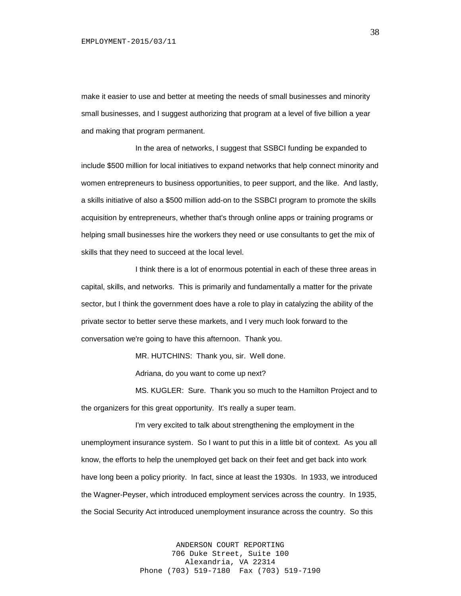make it easier to use and better at meeting the needs of small businesses and minority small businesses, and I suggest authorizing that program at a level of five billion a year and making that program permanent.

In the area of networks, I suggest that SSBCI funding be expanded to include \$500 million for local initiatives to expand networks that help connect minority and women entrepreneurs to business opportunities, to peer support, and the like. And lastly, a skills initiative of also a \$500 million add-on to the SSBCI program to promote the skills acquisition by entrepreneurs, whether that's through online apps or training programs or helping small businesses hire the workers they need or use consultants to get the mix of skills that they need to succeed at the local level.

I think there is a lot of enormous potential in each of these three areas in capital, skills, and networks. This is primarily and fundamentally a matter for the private sector, but I think the government does have a role to play in catalyzing the ability of the private sector to better serve these markets, and I very much look forward to the conversation we're going to have this afternoon. Thank you.

MR. HUTCHINS: Thank you, sir. Well done.

Adriana, do you want to come up next?

MS. KUGLER: Sure. Thank you so much to the Hamilton Project and to the organizers for this great opportunity. It's really a super team.

I'm very excited to talk about strengthening the employment in the unemployment insurance system. So I want to put this in a little bit of context. As you all know, the efforts to help the unemployed get back on their feet and get back into work have long been a policy priority. In fact, since at least the 1930s. In 1933, we introduced the Wagner-Peyser, which introduced employment services across the country. In 1935, the Social Security Act introduced unemployment insurance across the country. So this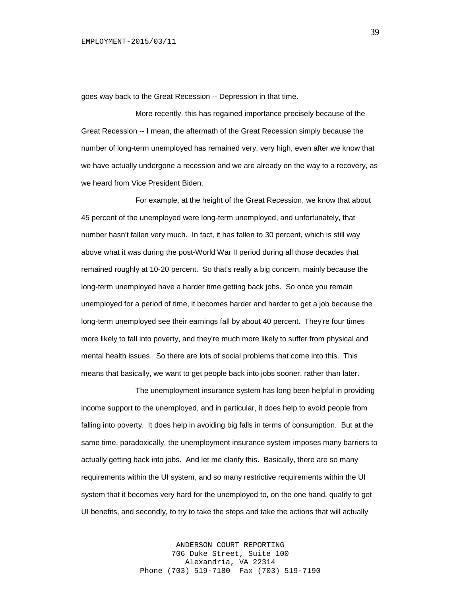goes way back to the Great Recession -- Depression in that time.

More recently, this has regained importance precisely because of the Great Recession -- I mean, the aftermath of the Great Recession simply because the number of long-term unemployed has remained very, very high, even after we know that we have actually undergone a recession and we are already on the way to a recovery, as we heard from Vice President Biden.

For example, at the height of the Great Recession, we know that about 45 percent of the unemployed were long-term unemployed, and unfortunately, that number hasn't fallen very much. In fact, it has fallen to 30 percent, which is still way above what it was during the post-World War II period during all those decades that remained roughly at 10-20 percent. So that's really a big concern, mainly because the long-term unemployed have a harder time getting back jobs. So once you remain unemployed for a period of time, it becomes harder and harder to get a job because the long-term unemployed see their earnings fall by about 40 percent. They're four times more likely to fall into poverty, and they're much more likely to suffer from physical and mental health issues. So there are lots of social problems that come into this. This means that basically, we want to get people back into jobs sooner, rather than later.

The unemployment insurance system has long been helpful in providing income support to the unemployed, and in particular, it does help to avoid people from falling into poverty. It does help in avoiding big falls in terms of consumption. But at the same time, paradoxically, the unemployment insurance system imposes many barriers to actually getting back into jobs. And let me clarify this. Basically, there are so many requirements within the UI system, and so many restrictive requirements within the UI system that it becomes very hard for the unemployed to, on the one hand, qualify to get UI benefits, and secondly, to try to take the steps and take the actions that will actually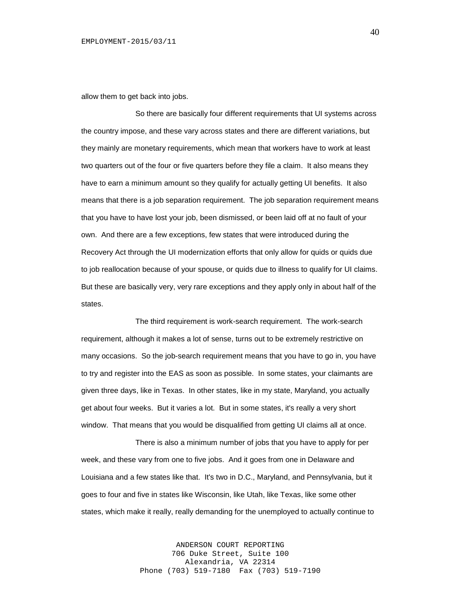allow them to get back into jobs.

So there are basically four different requirements that UI systems across the country impose, and these vary across states and there are different variations, but they mainly are monetary requirements, which mean that workers have to work at least two quarters out of the four or five quarters before they file a claim. It also means they have to earn a minimum amount so they qualify for actually getting UI benefits. It also means that there is a job separation requirement. The job separation requirement means that you have to have lost your job, been dismissed, or been laid off at no fault of your own. And there are a few exceptions, few states that were introduced during the Recovery Act through the UI modernization efforts that only allow for quids or quids due to job reallocation because of your spouse, or quids due to illness to qualify for UI claims. But these are basically very, very rare exceptions and they apply only in about half of the states.

The third requirement is work-search requirement. The work-search requirement, although it makes a lot of sense, turns out to be extremely restrictive on many occasions. So the job-search requirement means that you have to go in, you have to try and register into the EAS as soon as possible. In some states, your claimants are given three days, like in Texas. In other states, like in my state, Maryland, you actually get about four weeks. But it varies a lot. But in some states, it's really a very short window. That means that you would be disqualified from getting UI claims all at once.

There is also a minimum number of jobs that you have to apply for per week, and these vary from one to five jobs. And it goes from one in Delaware and Louisiana and a few states like that. It's two in D.C., Maryland, and Pennsylvania, but it goes to four and five in states like Wisconsin, like Utah, like Texas, like some other states, which make it really, really demanding for the unemployed to actually continue to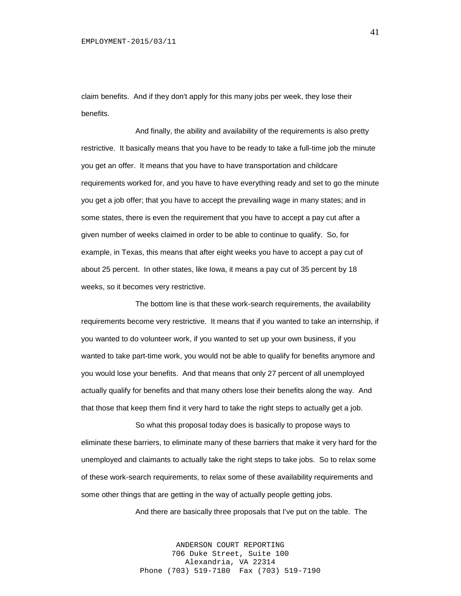claim benefits. And if they don't apply for this many jobs per week, they lose their benefits.

And finally, the ability and availability of the requirements is also pretty restrictive. It basically means that you have to be ready to take a full-time job the minute you get an offer. It means that you have to have transportation and childcare requirements worked for, and you have to have everything ready and set to go the minute you get a job offer; that you have to accept the prevailing wage in many states; and in some states, there is even the requirement that you have to accept a pay cut after a given number of weeks claimed in order to be able to continue to qualify. So, for example, in Texas, this means that after eight weeks you have to accept a pay cut of about 25 percent. In other states, like Iowa, it means a pay cut of 35 percent by 18 weeks, so it becomes very restrictive.

The bottom line is that these work-search requirements, the availability requirements become very restrictive. It means that if you wanted to take an internship, if you wanted to do volunteer work, if you wanted to set up your own business, if you wanted to take part-time work, you would not be able to qualify for benefits anymore and you would lose your benefits. And that means that only 27 percent of all unemployed actually qualify for benefits and that many others lose their benefits along the way. And that those that keep them find it very hard to take the right steps to actually get a job.

So what this proposal today does is basically to propose ways to eliminate these barriers, to eliminate many of these barriers that make it very hard for the unemployed and claimants to actually take the right steps to take jobs. So to relax some of these work-search requirements, to relax some of these availability requirements and some other things that are getting in the way of actually people getting jobs.

And there are basically three proposals that I've put on the table. The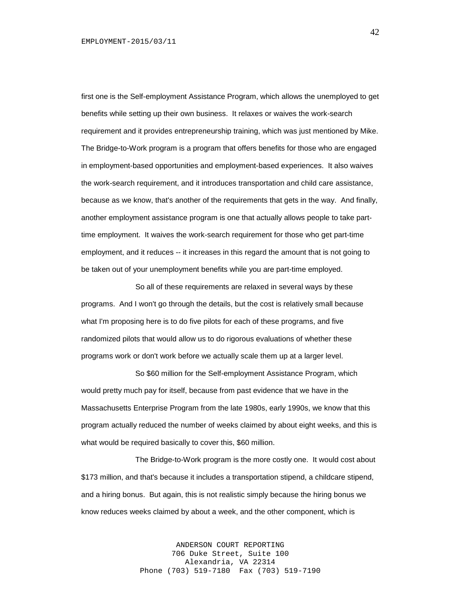first one is the Self-employment Assistance Program, which allows the unemployed to get benefits while setting up their own business. It relaxes or waives the work-search requirement and it provides entrepreneurship training, which was just mentioned by Mike. The Bridge-to-Work program is a program that offers benefits for those who are engaged in employment-based opportunities and employment-based experiences. It also waives the work-search requirement, and it introduces transportation and child care assistance, because as we know, that's another of the requirements that gets in the way. And finally, another employment assistance program is one that actually allows people to take parttime employment. It waives the work-search requirement for those who get part-time employment, and it reduces -- it increases in this regard the amount that is not going to be taken out of your unemployment benefits while you are part-time employed.

So all of these requirements are relaxed in several ways by these programs. And I won't go through the details, but the cost is relatively small because what I'm proposing here is to do five pilots for each of these programs, and five randomized pilots that would allow us to do rigorous evaluations of whether these programs work or don't work before we actually scale them up at a larger level.

So \$60 million for the Self-employment Assistance Program, which would pretty much pay for itself, because from past evidence that we have in the Massachusetts Enterprise Program from the late 1980s, early 1990s, we know that this program actually reduced the number of weeks claimed by about eight weeks, and this is what would be required basically to cover this, \$60 million.

The Bridge-to-Work program is the more costly one. It would cost about \$173 million, and that's because it includes a transportation stipend, a childcare stipend, and a hiring bonus. But again, this is not realistic simply because the hiring bonus we know reduces weeks claimed by about a week, and the other component, which is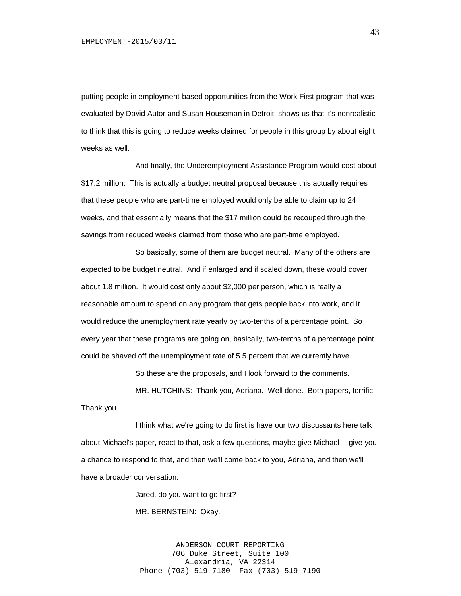putting people in employment-based opportunities from the Work First program that was evaluated by David Autor and Susan Houseman in Detroit, shows us that it's nonrealistic to think that this is going to reduce weeks claimed for people in this group by about eight weeks as well.

And finally, the Underemployment Assistance Program would cost about \$17.2 million. This is actually a budget neutral proposal because this actually requires that these people who are part-time employed would only be able to claim up to 24 weeks, and that essentially means that the \$17 million could be recouped through the savings from reduced weeks claimed from those who are part-time employed.

So basically, some of them are budget neutral. Many of the others are expected to be budget neutral. And if enlarged and if scaled down, these would cover about 1.8 million. It would cost only about \$2,000 per person, which is really a reasonable amount to spend on any program that gets people back into work, and it would reduce the unemployment rate yearly by two-tenths of a percentage point. So every year that these programs are going on, basically, two-tenths of a percentage point could be shaved off the unemployment rate of 5.5 percent that we currently have.

So these are the proposals, and I look forward to the comments.

MR. HUTCHINS: Thank you, Adriana. Well done. Both papers, terrific. Thank you.

I think what we're going to do first is have our two discussants here talk about Michael's paper, react to that, ask a few questions, maybe give Michael -- give you a chance to respond to that, and then we'll come back to you, Adriana, and then we'll have a broader conversation.

> Jared, do you want to go first? MR. BERNSTEIN: Okay.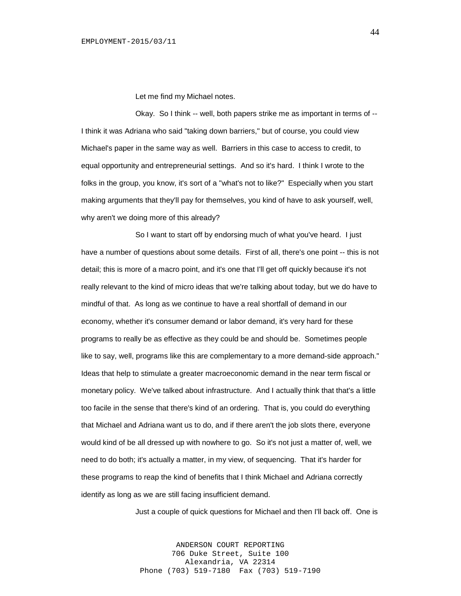Let me find my Michael notes.

Okay. So I think -- well, both papers strike me as important in terms of -- I think it was Adriana who said "taking down barriers," but of course, you could view Michael's paper in the same way as well. Barriers in this case to access to credit, to equal opportunity and entrepreneurial settings. And so it's hard. I think I wrote to the folks in the group, you know, it's sort of a "what's not to like?" Especially when you start making arguments that they'll pay for themselves, you kind of have to ask yourself, well, why aren't we doing more of this already?

So I want to start off by endorsing much of what you've heard. I just have a number of questions about some details. First of all, there's one point -- this is not detail; this is more of a macro point, and it's one that I'll get off quickly because it's not really relevant to the kind of micro ideas that we're talking about today, but we do have to mindful of that. As long as we continue to have a real shortfall of demand in our economy, whether it's consumer demand or labor demand, it's very hard for these programs to really be as effective as they could be and should be. Sometimes people like to say, well, programs like this are complementary to a more demand-side approach." Ideas that help to stimulate a greater macroeconomic demand in the near term fiscal or monetary policy. We've talked about infrastructure. And I actually think that that's a little too facile in the sense that there's kind of an ordering. That is, you could do everything that Michael and Adriana want us to do, and if there aren't the job slots there, everyone would kind of be all dressed up with nowhere to go. So it's not just a matter of, well, we need to do both; it's actually a matter, in my view, of sequencing. That it's harder for these programs to reap the kind of benefits that I think Michael and Adriana correctly identify as long as we are still facing insufficient demand.

Just a couple of quick questions for Michael and then I'll back off. One is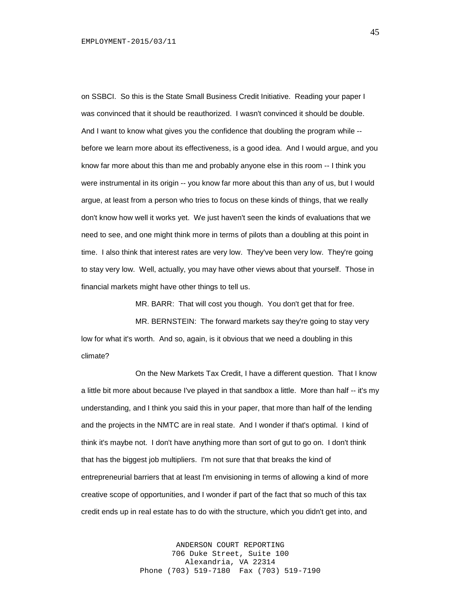on SSBCI. So this is the State Small Business Credit Initiative. Reading your paper I was convinced that it should be reauthorized. I wasn't convinced it should be double. And I want to know what gives you the confidence that doubling the program while - before we learn more about its effectiveness, is a good idea. And I would argue, and you know far more about this than me and probably anyone else in this room -- I think you were instrumental in its origin -- you know far more about this than any of us, but I would argue, at least from a person who tries to focus on these kinds of things, that we really don't know how well it works yet. We just haven't seen the kinds of evaluations that we need to see, and one might think more in terms of pilots than a doubling at this point in time. I also think that interest rates are very low. They've been very low. They're going to stay very low. Well, actually, you may have other views about that yourself. Those in financial markets might have other things to tell us.

MR. BARR: That will cost you though. You don't get that for free.

MR. BERNSTEIN: The forward markets say they're going to stay very low for what it's worth. And so, again, is it obvious that we need a doubling in this climate?

On the New Markets Tax Credit, I have a different question. That I know a little bit more about because I've played in that sandbox a little. More than half -- it's my understanding, and I think you said this in your paper, that more than half of the lending and the projects in the NMTC are in real state. And I wonder if that's optimal. I kind of think it's maybe not. I don't have anything more than sort of gut to go on. I don't think that has the biggest job multipliers. I'm not sure that that breaks the kind of entrepreneurial barriers that at least I'm envisioning in terms of allowing a kind of more creative scope of opportunities, and I wonder if part of the fact that so much of this tax credit ends up in real estate has to do with the structure, which you didn't get into, and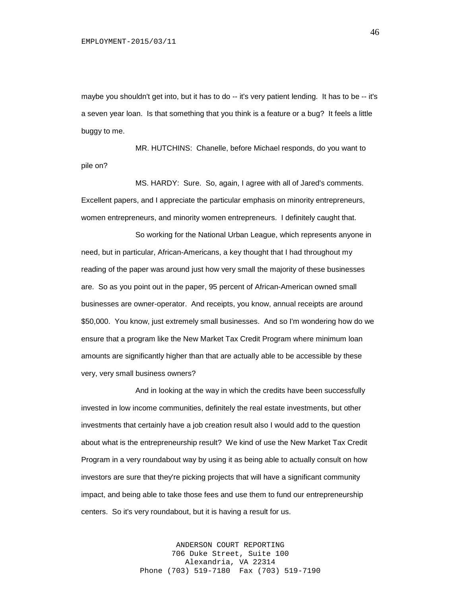maybe you shouldn't get into, but it has to do -- it's very patient lending. It has to be -- it's a seven year loan. Is that something that you think is a feature or a bug? It feels a little buggy to me.

MR. HUTCHINS: Chanelle, before Michael responds, do you want to pile on?

MS. HARDY: Sure. So, again, I agree with all of Jared's comments. Excellent papers, and I appreciate the particular emphasis on minority entrepreneurs, women entrepreneurs, and minority women entrepreneurs. I definitely caught that.

So working for the National Urban League, which represents anyone in need, but in particular, African-Americans, a key thought that I had throughout my reading of the paper was around just how very small the majority of these businesses are. So as you point out in the paper, 95 percent of African-American owned small businesses are owner-operator. And receipts, you know, annual receipts are around \$50,000. You know, just extremely small businesses. And so I'm wondering how do we ensure that a program like the New Market Tax Credit Program where minimum loan amounts are significantly higher than that are actually able to be accessible by these very, very small business owners?

And in looking at the way in which the credits have been successfully invested in low income communities, definitely the real estate investments, but other investments that certainly have a job creation result also I would add to the question about what is the entrepreneurship result? We kind of use the New Market Tax Credit Program in a very roundabout way by using it as being able to actually consult on how investors are sure that they're picking projects that will have a significant community impact, and being able to take those fees and use them to fund our entrepreneurship centers. So it's very roundabout, but it is having a result for us.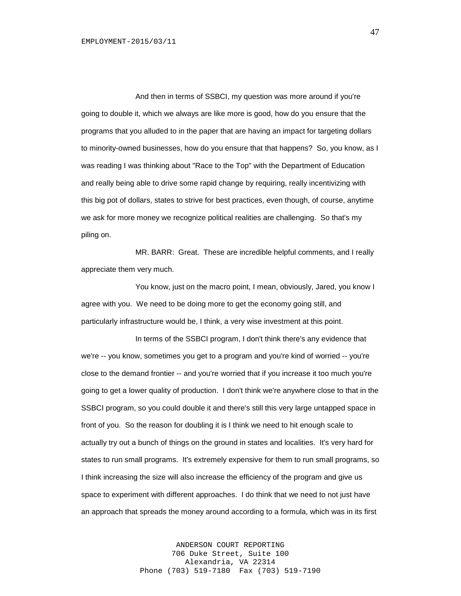And then in terms of SSBCI, my question was more around if you're going to double it, which we always are like more is good, how do you ensure that the programs that you alluded to in the paper that are having an impact for targeting dollars to minority-owned businesses, how do you ensure that that happens? So, you know, as I was reading I was thinking about "Race to the Top" with the Department of Education and really being able to drive some rapid change by requiring, really incentivizing with this big pot of dollars, states to strive for best practices, even though, of course, anytime we ask for more money we recognize political realities are challenging. So that's my piling on.

MR. BARR: Great. These are incredible helpful comments, and I really appreciate them very much.

You know, just on the macro point, I mean, obviously, Jared, you know I agree with you. We need to be doing more to get the economy going still, and particularly infrastructure would be, I think, a very wise investment at this point.

In terms of the SSBCI program, I don't think there's any evidence that we're -- you know, sometimes you get to a program and you're kind of worried -- you're close to the demand frontier -- and you're worried that if you increase it too much you're going to get a lower quality of production. I don't think we're anywhere close to that in the SSBCI program, so you could double it and there's still this very large untapped space in front of you. So the reason for doubling it is I think we need to hit enough scale to actually try out a bunch of things on the ground in states and localities. It's very hard for states to run small programs. It's extremely expensive for them to run small programs, so I think increasing the size will also increase the efficiency of the program and give us space to experiment with different approaches. I do think that we need to not just have an approach that spreads the money around according to a formula, which was in its first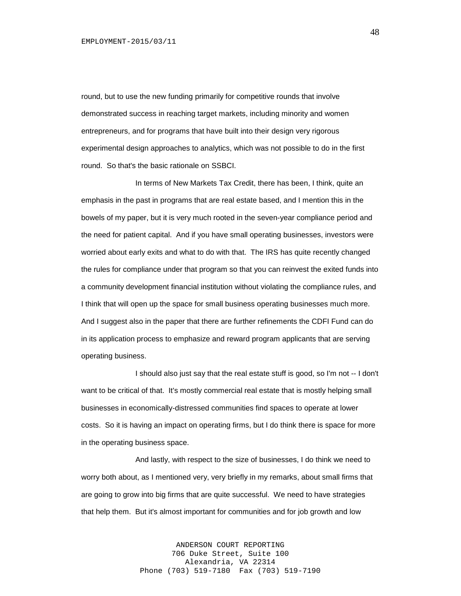round, but to use the new funding primarily for competitive rounds that involve demonstrated success in reaching target markets, including minority and women entrepreneurs, and for programs that have built into their design very rigorous experimental design approaches to analytics, which was not possible to do in the first round. So that's the basic rationale on SSBCI.

In terms of New Markets Tax Credit, there has been, I think, quite an emphasis in the past in programs that are real estate based, and I mention this in the bowels of my paper, but it is very much rooted in the seven-year compliance period and the need for patient capital. And if you have small operating businesses, investors were worried about early exits and what to do with that. The IRS has quite recently changed the rules for compliance under that program so that you can reinvest the exited funds into a community development financial institution without violating the compliance rules, and I think that will open up the space for small business operating businesses much more. And I suggest also in the paper that there are further refinements the CDFI Fund can do in its application process to emphasize and reward program applicants that are serving operating business.

I should also just say that the real estate stuff is good, so I'm not -- I don't want to be critical of that. It's mostly commercial real estate that is mostly helping small businesses in economically-distressed communities find spaces to operate at lower costs. So it is having an impact on operating firms, but I do think there is space for more in the operating business space.

And lastly, with respect to the size of businesses, I do think we need to worry both about, as I mentioned very, very briefly in my remarks, about small firms that are going to grow into big firms that are quite successful. We need to have strategies that help them. But it's almost important for communities and for job growth and low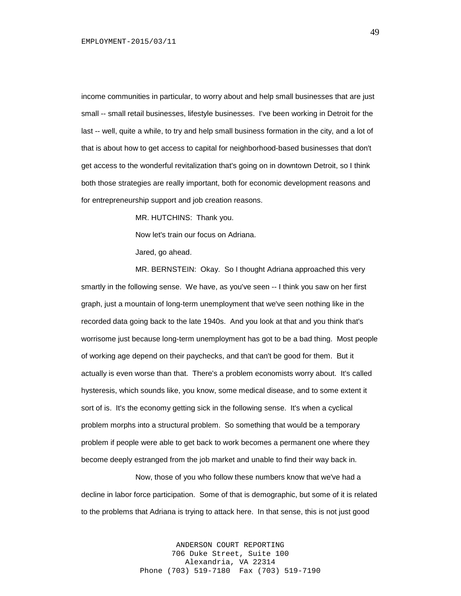income communities in particular, to worry about and help small businesses that are just small -- small retail businesses, lifestyle businesses. I've been working in Detroit for the last -- well, quite a while, to try and help small business formation in the city, and a lot of that is about how to get access to capital for neighborhood-based businesses that don't get access to the wonderful revitalization that's going on in downtown Detroit, so I think both those strategies are really important, both for economic development reasons and for entrepreneurship support and job creation reasons.

MR. HUTCHINS: Thank you.

Now let's train our focus on Adriana.

Jared, go ahead.

MR. BERNSTEIN: Okay. So I thought Adriana approached this very smartly in the following sense. We have, as you've seen -- I think you saw on her first graph, just a mountain of long-term unemployment that we've seen nothing like in the recorded data going back to the late 1940s. And you look at that and you think that's worrisome just because long-term unemployment has got to be a bad thing. Most people of working age depend on their paychecks, and that can't be good for them. But it actually is even worse than that. There's a problem economists worry about. It's called hysteresis, which sounds like, you know, some medical disease, and to some extent it sort of is. It's the economy getting sick in the following sense. It's when a cyclical problem morphs into a structural problem. So something that would be a temporary problem if people were able to get back to work becomes a permanent one where they become deeply estranged from the job market and unable to find their way back in.

Now, those of you who follow these numbers know that we've had a decline in labor force participation. Some of that is demographic, but some of it is related to the problems that Adriana is trying to attack here. In that sense, this is not just good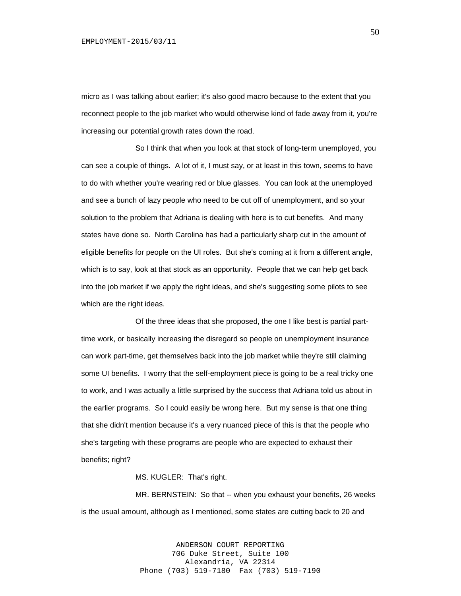micro as I was talking about earlier; it's also good macro because to the extent that you reconnect people to the job market who would otherwise kind of fade away from it, you're increasing our potential growth rates down the road.

So I think that when you look at that stock of long-term unemployed, you can see a couple of things. A lot of it, I must say, or at least in this town, seems to have to do with whether you're wearing red or blue glasses. You can look at the unemployed and see a bunch of lazy people who need to be cut off of unemployment, and so your solution to the problem that Adriana is dealing with here is to cut benefits. And many states have done so. North Carolina has had a particularly sharp cut in the amount of eligible benefits for people on the UI roles. But she's coming at it from a different angle, which is to say, look at that stock as an opportunity. People that we can help get back into the job market if we apply the right ideas, and she's suggesting some pilots to see which are the right ideas.

Of the three ideas that she proposed, the one I like best is partial parttime work, or basically increasing the disregard so people on unemployment insurance can work part-time, get themselves back into the job market while they're still claiming some UI benefits. I worry that the self-employment piece is going to be a real tricky one to work, and I was actually a little surprised by the success that Adriana told us about in the earlier programs. So I could easily be wrong here. But my sense is that one thing that she didn't mention because it's a very nuanced piece of this is that the people who she's targeting with these programs are people who are expected to exhaust their benefits; right?

MS. KUGLER: That's right.

MR. BERNSTEIN: So that -- when you exhaust your benefits, 26 weeks is the usual amount, although as I mentioned, some states are cutting back to 20 and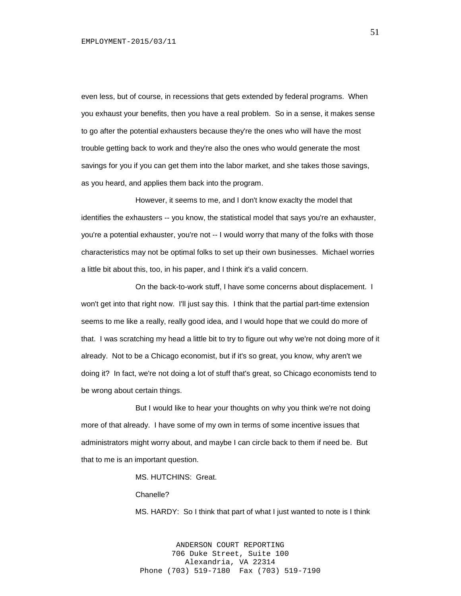even less, but of course, in recessions that gets extended by federal programs. When you exhaust your benefits, then you have a real problem. So in a sense, it makes sense to go after the potential exhausters because they're the ones who will have the most trouble getting back to work and they're also the ones who would generate the most savings for you if you can get them into the labor market, and she takes those savings, as you heard, and applies them back into the program.

However, it seems to me, and I don't know exaclty the model that identifies the exhausters -- you know, the statistical model that says you're an exhauster, you're a potential exhauster, you're not -- I would worry that many of the folks with those characteristics may not be optimal folks to set up their own businesses. Michael worries a little bit about this, too, in his paper, and I think it's a valid concern.

On the back-to-work stuff, I have some concerns about displacement. I won't get into that right now. I'll just say this. I think that the partial part-time extension seems to me like a really, really good idea, and I would hope that we could do more of that. I was scratching my head a little bit to try to figure out why we're not doing more of it already. Not to be a Chicago economist, but if it's so great, you know, why aren't we doing it? In fact, we're not doing a lot of stuff that's great, so Chicago economists tend to be wrong about certain things.

But I would like to hear your thoughts on why you think we're not doing more of that already. I have some of my own in terms of some incentive issues that administrators might worry about, and maybe I can circle back to them if need be. But that to me is an important question.

MS. HUTCHINS: Great.

Chanelle?

MS. HARDY: So I think that part of what I just wanted to note is I think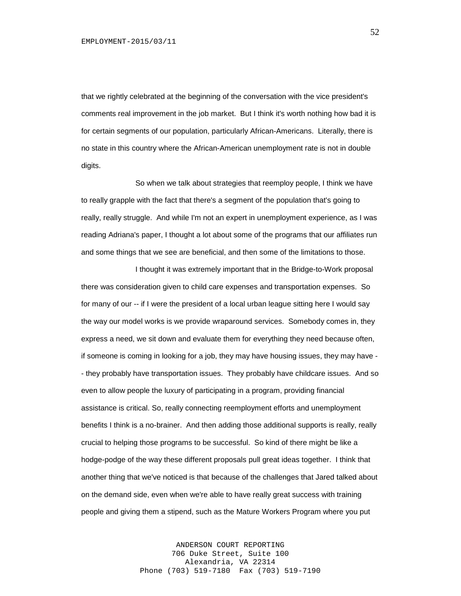that we rightly celebrated at the beginning of the conversation with the vice president's comments real improvement in the job market. But I think it's worth nothing how bad it is for certain segments of our population, particularly African-Americans. Literally, there is no state in this country where the African-American unemployment rate is not in double digits.

So when we talk about strategies that reemploy people, I think we have to really grapple with the fact that there's a segment of the population that's going to really, really struggle. And while I'm not an expert in unemployment experience, as I was reading Adriana's paper, I thought a lot about some of the programs that our affiliates run and some things that we see are beneficial, and then some of the limitations to those.

I thought it was extremely important that in the Bridge-to-Work proposal there was consideration given to child care expenses and transportation expenses. So for many of our -- if I were the president of a local urban league sitting here I would say the way our model works is we provide wraparound services. Somebody comes in, they express a need, we sit down and evaluate them for everything they need because often, if someone is coming in looking for a job, they may have housing issues, they may have - - they probably have transportation issues. They probably have childcare issues. And so even to allow people the luxury of participating in a program, providing financial assistance is critical. So, really connecting reemployment efforts and unemployment benefits I think is a no-brainer. And then adding those additional supports is really, really crucial to helping those programs to be successful. So kind of there might be like a hodge-podge of the way these different proposals pull great ideas together. I think that another thing that we've noticed is that because of the challenges that Jared talked about on the demand side, even when we're able to have really great success with training people and giving them a stipend, such as the Mature Workers Program where you put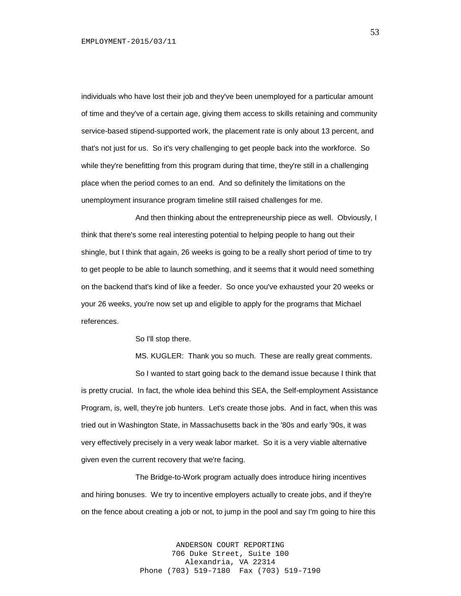individuals who have lost their job and they've been unemployed for a particular amount of time and they've of a certain age, giving them access to skills retaining and community service-based stipend-supported work, the placement rate is only about 13 percent, and that's not just for us. So it's very challenging to get people back into the workforce. So while they're benefitting from this program during that time, they're still in a challenging place when the period comes to an end. And so definitely the limitations on the unemployment insurance program timeline still raised challenges for me.

And then thinking about the entrepreneurship piece as well. Obviously, I think that there's some real interesting potential to helping people to hang out their shingle, but I think that again, 26 weeks is going to be a really short period of time to try to get people to be able to launch something, and it seems that it would need something on the backend that's kind of like a feeder. So once you've exhausted your 20 weeks or your 26 weeks, you're now set up and eligible to apply for the programs that Michael references.

So I'll stop there.

MS. KUGLER: Thank you so much. These are really great comments.

So I wanted to start going back to the demand issue because I think that is pretty crucial. In fact, the whole idea behind this SEA, the Self-employment Assistance Program, is, well, they're job hunters. Let's create those jobs. And in fact, when this was tried out in Washington State, in Massachusetts back in the '80s and early '90s, it was very effectively precisely in a very weak labor market. So it is a very viable alternative given even the current recovery that we're facing.

The Bridge-to-Work program actually does introduce hiring incentives and hiring bonuses. We try to incentive employers actually to create jobs, and if they're on the fence about creating a job or not, to jump in the pool and say I'm going to hire this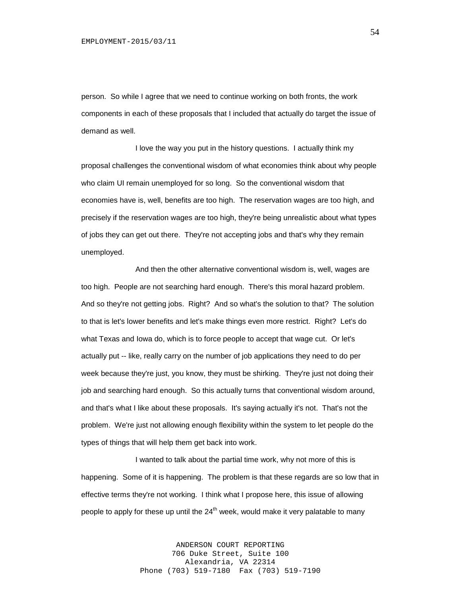person. So while I agree that we need to continue working on both fronts, the work components in each of these proposals that I included that actually do target the issue of demand as well.

I love the way you put in the history questions. I actually think my proposal challenges the conventional wisdom of what economies think about why people who claim UI remain unemployed for so long. So the conventional wisdom that economies have is, well, benefits are too high. The reservation wages are too high, and precisely if the reservation wages are too high, they're being unrealistic about what types of jobs they can get out there. They're not accepting jobs and that's why they remain unemployed.

And then the other alternative conventional wisdom is, well, wages are too high. People are not searching hard enough. There's this moral hazard problem. And so they're not getting jobs. Right? And so what's the solution to that? The solution to that is let's lower benefits and let's make things even more restrict. Right? Let's do what Texas and Iowa do, which is to force people to accept that wage cut. Or let's actually put -- like, really carry on the number of job applications they need to do per week because they're just, you know, they must be shirking. They're just not doing their job and searching hard enough. So this actually turns that conventional wisdom around, and that's what I like about these proposals. It's saying actually it's not. That's not the problem. We're just not allowing enough flexibility within the system to let people do the types of things that will help them get back into work.

I wanted to talk about the partial time work, why not more of this is happening. Some of it is happening. The problem is that these regards are so low that in effective terms they're not working. I think what I propose here, this issue of allowing people to apply for these up until the  $24<sup>th</sup>$  week, would make it very palatable to many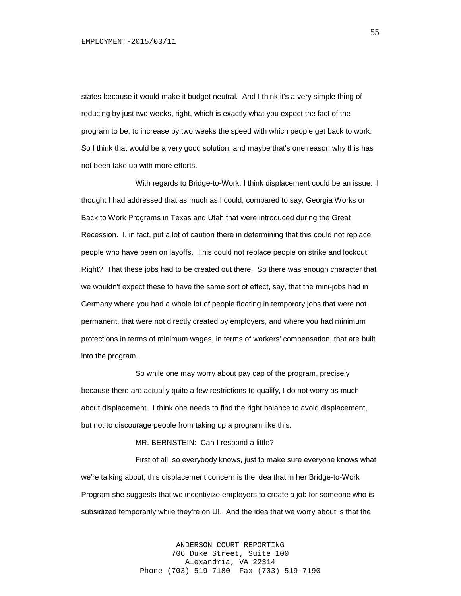states because it would make it budget neutral. And I think it's a very simple thing of reducing by just two weeks, right, which is exactly what you expect the fact of the program to be, to increase by two weeks the speed with which people get back to work. So I think that would be a very good solution, and maybe that's one reason why this has not been take up with more efforts.

With regards to Bridge-to-Work, I think displacement could be an issue. I thought I had addressed that as much as I could, compared to say, Georgia Works or Back to Work Programs in Texas and Utah that were introduced during the Great Recession. I, in fact, put a lot of caution there in determining that this could not replace people who have been on layoffs. This could not replace people on strike and lockout. Right? That these jobs had to be created out there. So there was enough character that we wouldn't expect these to have the same sort of effect, say, that the mini-jobs had in Germany where you had a whole lot of people floating in temporary jobs that were not permanent, that were not directly created by employers, and where you had minimum protections in terms of minimum wages, in terms of workers' compensation, that are built into the program.

So while one may worry about pay cap of the program, precisely because there are actually quite a few restrictions to qualify, I do not worry as much about displacement. I think one needs to find the right balance to avoid displacement, but not to discourage people from taking up a program like this.

MR. BERNSTEIN: Can I respond a little?

First of all, so everybody knows, just to make sure everyone knows what we're talking about, this displacement concern is the idea that in her Bridge-to-Work Program she suggests that we incentivize employers to create a job for someone who is subsidized temporarily while they're on UI. And the idea that we worry about is that the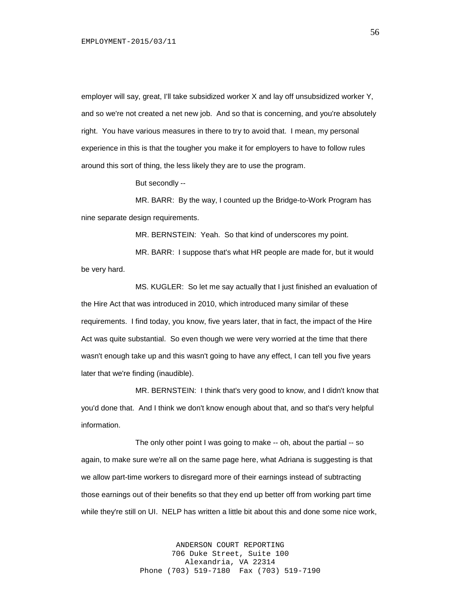employer will say, great, I'll take subsidized worker X and lay off unsubsidized worker Y, and so we're not created a net new job. And so that is concerning, and you're absolutely right. You have various measures in there to try to avoid that. I mean, my personal experience in this is that the tougher you make it for employers to have to follow rules around this sort of thing, the less likely they are to use the program.

But secondly --

MR. BARR: By the way, I counted up the Bridge-to-Work Program has nine separate design requirements.

MR. BERNSTEIN: Yeah. So that kind of underscores my point.

MR. BARR: I suppose that's what HR people are made for, but it would be very hard.

MS. KUGLER: So let me say actually that I just finished an evaluation of the Hire Act that was introduced in 2010, which introduced many similar of these requirements. I find today, you know, five years later, that in fact, the impact of the Hire Act was quite substantial. So even though we were very worried at the time that there wasn't enough take up and this wasn't going to have any effect, I can tell you five years later that we're finding (inaudible).

MR. BERNSTEIN: I think that's very good to know, and I didn't know that you'd done that. And I think we don't know enough about that, and so that's very helpful information.

The only other point I was going to make -- oh, about the partial -- so again, to make sure we're all on the same page here, what Adriana is suggesting is that we allow part-time workers to disregard more of their earnings instead of subtracting those earnings out of their benefits so that they end up better off from working part time while they're still on UI. NELP has written a little bit about this and done some nice work,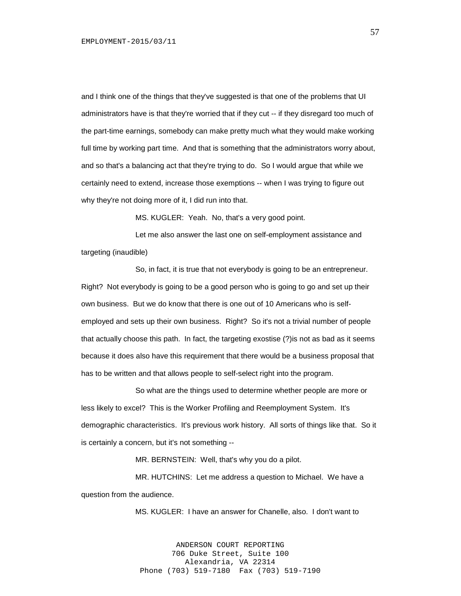and I think one of the things that they've suggested is that one of the problems that UI administrators have is that they're worried that if they cut -- if they disregard too much of the part-time earnings, somebody can make pretty much what they would make working full time by working part time. And that is something that the administrators worry about, and so that's a balancing act that they're trying to do. So I would argue that while we certainly need to extend, increase those exemptions -- when I was trying to figure out why they're not doing more of it, I did run into that.

MS. KUGLER: Yeah. No, that's a very good point.

Let me also answer the last one on self-employment assistance and targeting (inaudible)

So, in fact, it is true that not everybody is going to be an entrepreneur. Right? Not everybody is going to be a good person who is going to go and set up their own business. But we do know that there is one out of 10 Americans who is selfemployed and sets up their own business. Right? So it's not a trivial number of people that actually choose this path. In fact, the targeting exostise (?)is not as bad as it seems because it does also have this requirement that there would be a business proposal that has to be written and that allows people to self-select right into the program.

So what are the things used to determine whether people are more or less likely to excel? This is the Worker Profiling and Reemployment System. It's demographic characteristics. It's previous work history. All sorts of things like that. So it is certainly a concern, but it's not something --

MR. BERNSTEIN: Well, that's why you do a pilot.

MR. HUTCHINS: Let me address a question to Michael. We have a question from the audience.

MS. KUGLER: I have an answer for Chanelle, also. I don't want to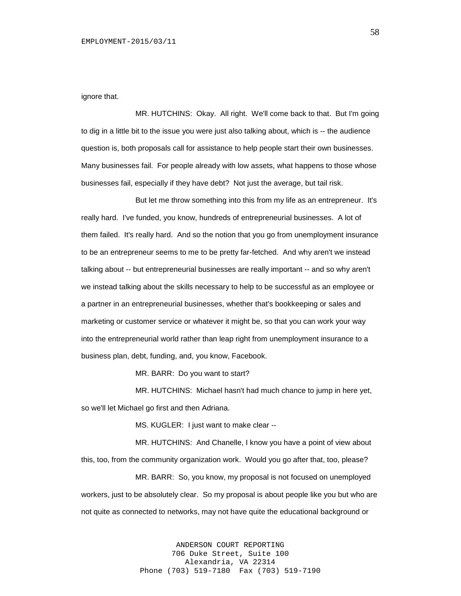ignore that.

MR. HUTCHINS: Okay. All right. We'll come back to that. But I'm going to dig in a little bit to the issue you were just also talking about, which is -- the audience question is, both proposals call for assistance to help people start their own businesses. Many businesses fail. For people already with low assets, what happens to those whose businesses fail, especially if they have debt? Not just the average, but tail risk.

But let me throw something into this from my life as an entrepreneur. It's really hard. I've funded, you know, hundreds of entrepreneurial businesses. A lot of them failed. It's really hard. And so the notion that you go from unemployment insurance to be an entrepreneur seems to me to be pretty far-fetched. And why aren't we instead talking about -- but entrepreneurial businesses are really important -- and so why aren't we instead talking about the skills necessary to help to be successful as an employee or a partner in an entrepreneurial businesses, whether that's bookkeeping or sales and marketing or customer service or whatever it might be, so that you can work your way into the entrepreneurial world rather than leap right from unemployment insurance to a business plan, debt, funding, and, you know, Facebook.

MR. BARR: Do you want to start?

MR. HUTCHINS: Michael hasn't had much chance to jump in here yet, so we'll let Michael go first and then Adriana.

MS. KUGLER: I just want to make clear --

MR. HUTCHINS: And Chanelle, I know you have a point of view about this, too, from the community organization work. Would you go after that, too, please?

MR. BARR: So, you know, my proposal is not focused on unemployed workers, just to be absolutely clear. So my proposal is about people like you but who are not quite as connected to networks, may not have quite the educational background or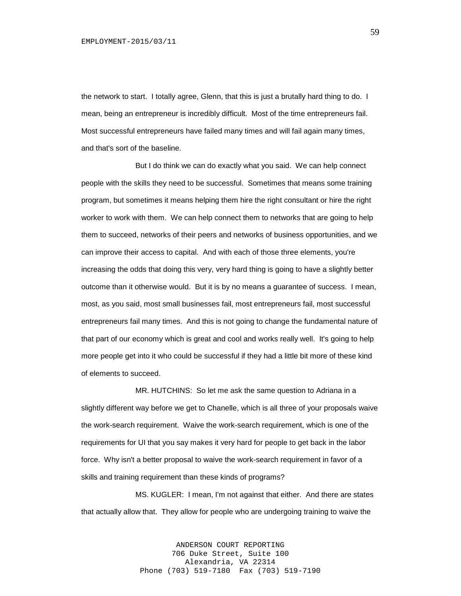the network to start. I totally agree, Glenn, that this is just a brutally hard thing to do. I mean, being an entrepreneur is incredibly difficult. Most of the time entrepreneurs fail. Most successful entrepreneurs have failed many times and will fail again many times, and that's sort of the baseline.

But I do think we can do exactly what you said. We can help connect people with the skills they need to be successful. Sometimes that means some training program, but sometimes it means helping them hire the right consultant or hire the right worker to work with them. We can help connect them to networks that are going to help them to succeed, networks of their peers and networks of business opportunities, and we can improve their access to capital. And with each of those three elements, you're increasing the odds that doing this very, very hard thing is going to have a slightly better outcome than it otherwise would. But it is by no means a guarantee of success. I mean, most, as you said, most small businesses fail, most entrepreneurs fail, most successful entrepreneurs fail many times. And this is not going to change the fundamental nature of that part of our economy which is great and cool and works really well. It's going to help more people get into it who could be successful if they had a little bit more of these kind of elements to succeed.

MR. HUTCHINS: So let me ask the same question to Adriana in a slightly different way before we get to Chanelle, which is all three of your proposals waive the work-search requirement. Waive the work-search requirement, which is one of the requirements for UI that you say makes it very hard for people to get back in the labor force. Why isn't a better proposal to waive the work-search requirement in favor of a skills and training requirement than these kinds of programs?

MS. KUGLER: I mean, I'm not against that either. And there are states that actually allow that. They allow for people who are undergoing training to waive the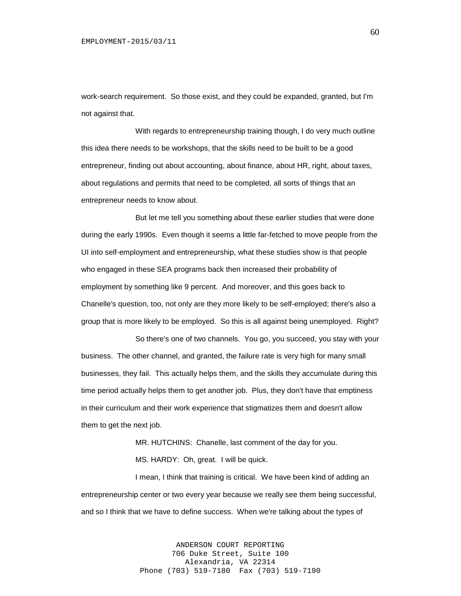work-search requirement. So those exist, and they could be expanded, granted, but I'm not against that.

With regards to entrepreneurship training though, I do very much outline this idea there needs to be workshops, that the skills need to be built to be a good entrepreneur, finding out about accounting, about finance, about HR, right, about taxes, about regulations and permits that need to be completed, all sorts of things that an entrepreneur needs to know about.

But let me tell you something about these earlier studies that were done during the early 1990s. Even though it seems a little far-fetched to move people from the UI into self-employment and entrepreneurship, what these studies show is that people who engaged in these SEA programs back then increased their probability of employment by something like 9 percent. And moreover, and this goes back to Chanelle's question, too, not only are they more likely to be self-employed; there's also a group that is more likely to be employed. So this is all against being unemployed. Right?

So there's one of two channels. You go, you succeed, you stay with your business. The other channel, and granted, the failure rate is very high for many small businesses, they fail. This actually helps them, and the skills they accumulate during this time period actually helps them to get another job. Plus, they don't have that emptiness in their curriculum and their work experience that stigmatizes them and doesn't allow them to get the next job.

> MR. HUTCHINS: Chanelle, last comment of the day for you. MS. HARDY: Oh, great. I will be quick.

I mean, I think that training is critical. We have been kind of adding an entrepreneurship center or two every year because we really see them being successful, and so I think that we have to define success. When we're talking about the types of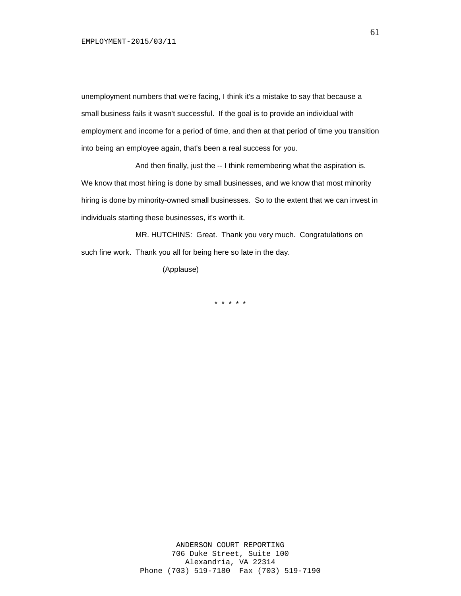unemployment numbers that we're facing, I think it's a mistake to say that because a small business fails it wasn't successful. If the goal is to provide an individual with employment and income for a period of time, and then at that period of time you transition into being an employee again, that's been a real success for you.

And then finally, just the -- I think remembering what the aspiration is. We know that most hiring is done by small businesses, and we know that most minority hiring is done by minority-owned small businesses. So to the extent that we can invest in individuals starting these businesses, it's worth it.

MR. HUTCHINS: Great. Thank you very much. Congratulations on such fine work. Thank you all for being here so late in the day.

(Applause)

\* \* \* \* \*